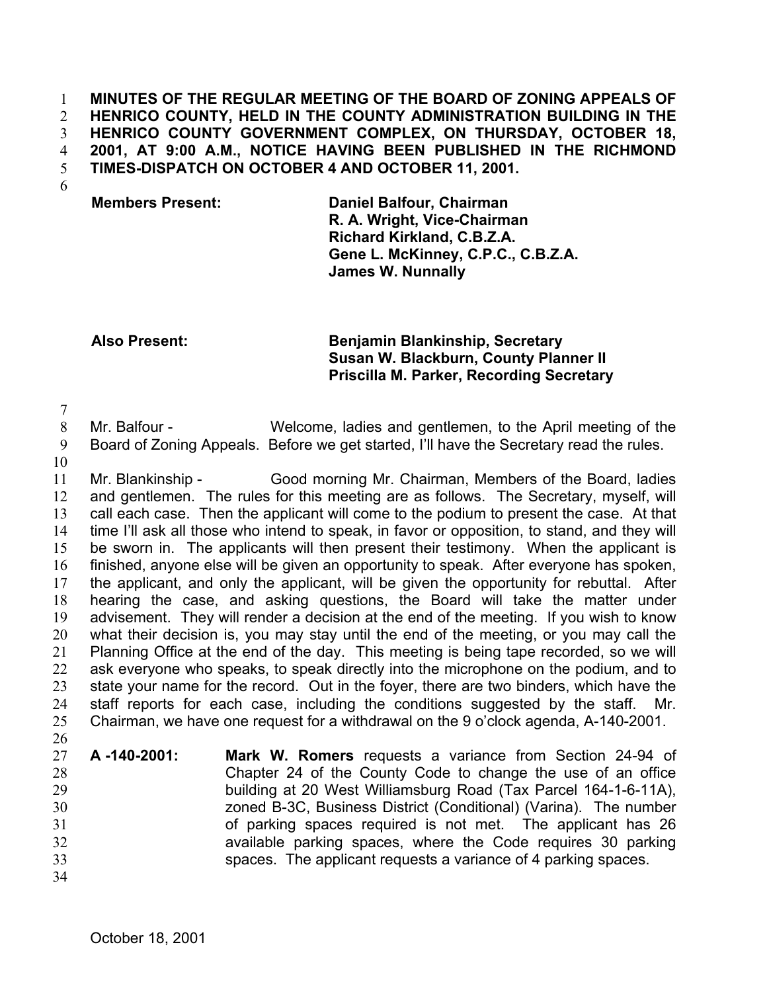**MINUTES OF THE REGULAR MEETING OF THE BOARD OF ZONING APPEALS OF HENRICO COUNTY, HELD IN THE COUNTY ADMINISTRATION BUILDING IN THE HENRICO COUNTY GOVERNMENT COMPLEX, ON THURSDAY, OCTOBER 18, 2001, AT 9:00 A.M., NOTICE HAVING BEEN PUBLISHED IN THE RICHMOND TIMES-DISPATCH ON OCTOBER 4 AND OCTOBER 11, 2001.**  1 2 3 4 5

6

## **Members Present: Daniel Balfour, Chairman R. A. Wright, Vice-Chairman Richard Kirkland, C.B.Z.A. Gene L. McKinney, C.P.C., C.B.Z.A. James W. Nunnally**

## **Also Present: Benjamin Blankinship, Secretary Susan W. Blackburn, County Planner II Priscilla M. Parker, Recording Secretary**

7

8 9 Mr. Balfour - Welcome, ladies and gentlemen, to the April meeting of the Board of Zoning Appeals. Before we get started, I'll have the Secretary read the rules.

10

11 12 13 14 15 16 17 18 19 20 21 22 23 24 25 26 Mr. Blankinship - Good morning Mr. Chairman, Members of the Board, ladies and gentlemen. The rules for this meeting are as follows. The Secretary, myself, will call each case. Then the applicant will come to the podium to present the case. At that time I'll ask all those who intend to speak, in favor or opposition, to stand, and they will be sworn in. The applicants will then present their testimony. When the applicant is finished, anyone else will be given an opportunity to speak. After everyone has spoken, the applicant, and only the applicant, will be given the opportunity for rebuttal. After hearing the case, and asking questions, the Board will take the matter under advisement. They will render a decision at the end of the meeting. If you wish to know what their decision is, you may stay until the end of the meeting, or you may call the Planning Office at the end of the day. This meeting is being tape recorded, so we will ask everyone who speaks, to speak directly into the microphone on the podium, and to state your name for the record. Out in the foyer, there are two binders, which have the staff reports for each case, including the conditions suggested by the staff. Chairman, we have one request for a withdrawal on the 9 o'clock agenda, A-140-2001.

- 27 28 29 30 31 32 33 **A -140-2001: Mark W. Romers** requests a variance from Section 24-94 of Chapter 24 of the County Code to change the use of an office building at 20 West Williamsburg Road (Tax Parcel 164-1-6-11A), zoned B-3C, Business District (Conditional) (Varina). The number of parking spaces required is not met. The applicant has 26 available parking spaces, where the Code requires 30 parking spaces. The applicant requests a variance of 4 parking spaces.
- 34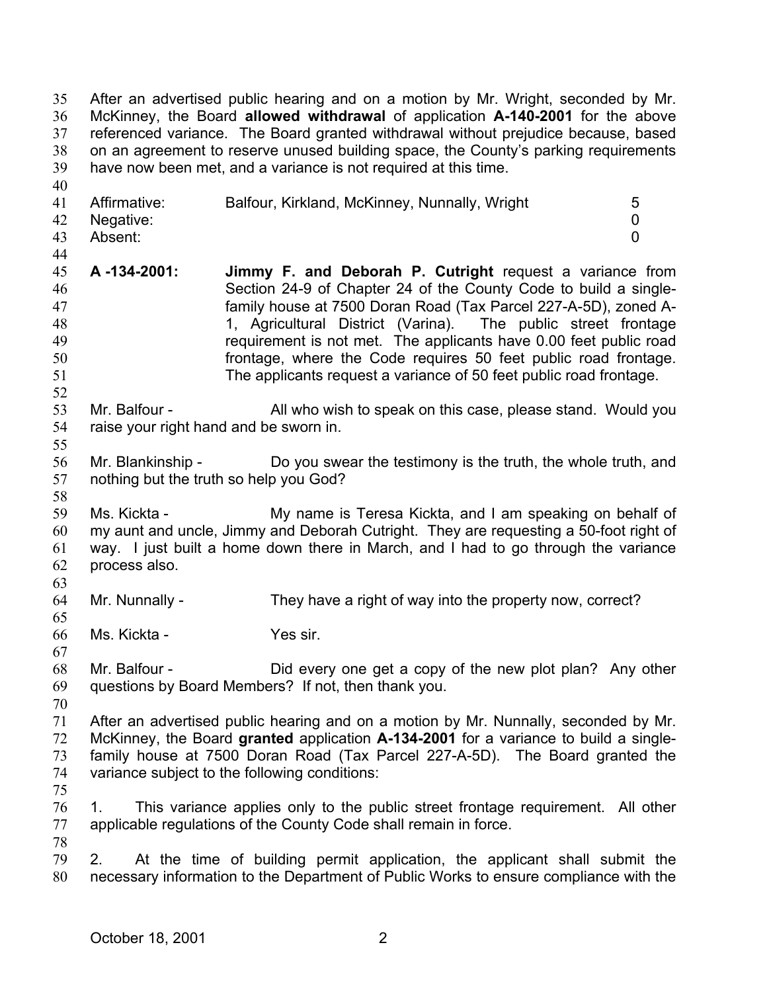After an advertised public hearing and on a motion by Mr. Wright, seconded by Mr. McKinney, the Board **allowed withdrawal** of application **A-140-2001** for the above referenced variance. The Board granted withdrawal without prejudice because, based on an agreement to reserve unused building space, the County's parking requirements have now been met, and a variance is not required at this time. 35 36 37 38 39 40 41 42 43 44 45 46 47 48 49 50 51 52 53 54 55 56 57 58 59 60 61 62 63 64 65 66 67 68 69 70 71 72 73 74 75 76 77 78 79 80 Affirmative: Balfour, Kirkland, McKinney, Nunnally, Wright 5 Negative: 0 Absent: 0 **A -134-2001: Jimmy F. and Deborah P. Cutright** request a variance from Section 24-9 of Chapter 24 of the County Code to build a singlefamily house at 7500 Doran Road (Tax Parcel 227-A-5D), zoned A-1, Agricultural District (Varina). The public street frontage requirement is not met. The applicants have 0.00 feet public road frontage, where the Code requires 50 feet public road frontage. The applicants request a variance of 50 feet public road frontage. Mr. Balfour - All who wish to speak on this case, please stand. Would you raise your right hand and be sworn in. Mr. Blankinship - Do you swear the testimony is the truth, the whole truth, and nothing but the truth so help you God? Ms. Kickta - My name is Teresa Kickta, and I am speaking on behalf of my aunt and uncle, Jimmy and Deborah Cutright. They are requesting a 50-foot right of way. I just built a home down there in March, and I had to go through the variance process also. Mr. Nunnally - They have a right of way into the property now, correct? Ms. Kickta - Yes sir. Mr. Balfour - Did every one get a copy of the new plot plan? Any other questions by Board Members? If not, then thank you. After an advertised public hearing and on a motion by Mr. Nunnally, seconded by Mr. McKinney, the Board **granted** application **A-134-2001** for a variance to build a singlefamily house at 7500 Doran Road (Tax Parcel 227-A-5D). The Board granted the variance subject to the following conditions: 1. This variance applies only to the public street frontage requirement. All other applicable regulations of the County Code shall remain in force. 2. At the time of building permit application, the applicant shall submit the necessary information to the Department of Public Works to ensure compliance with the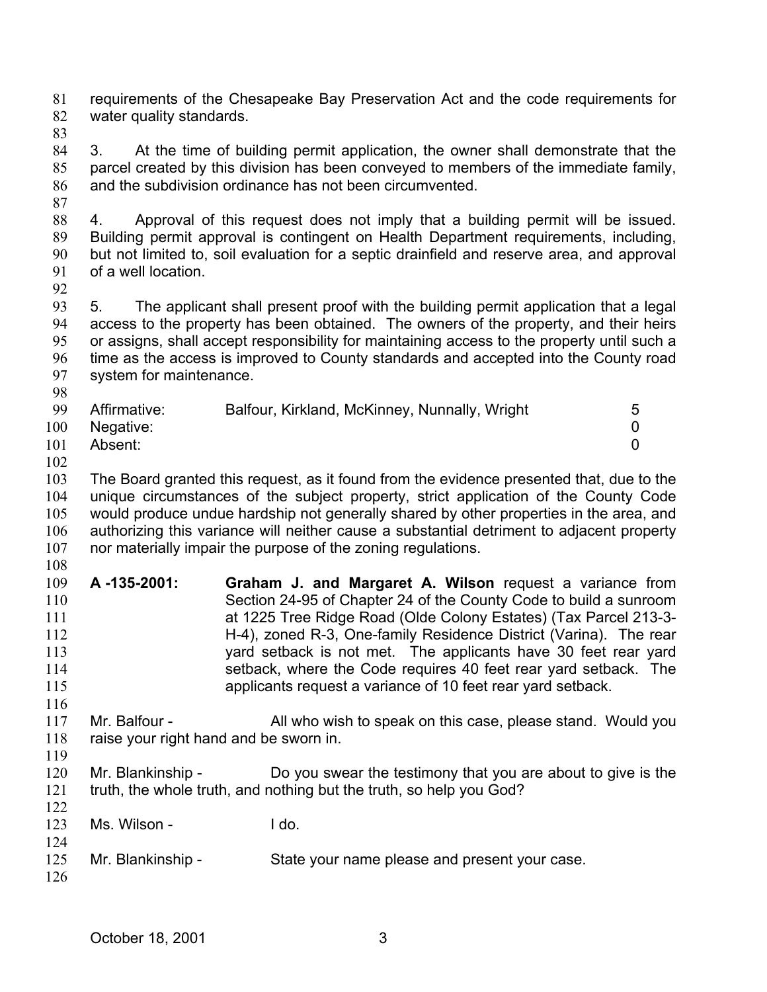requirements of the Chesapeake Bay Preservation Act and the code requirements for water quality standards. 81 82

83

87

84 85 86 3. At the time of building permit application, the owner shall demonstrate that the parcel created by this division has been conveyed to members of the immediate family, and the subdivision ordinance has not been circumvented.

88 89 90 91 4. Approval of this request does not imply that a building permit will be issued. Building permit approval is contingent on Health Department requirements, including, but not limited to, soil evaluation for a septic drainfield and reserve area, and approval of a well location.

92

93 94 95 96 97 98 5. The applicant shall present proof with the building permit application that a legal access to the property has been obtained. The owners of the property, and their heirs or assigns, shall accept responsibility for maintaining access to the property until such a time as the access is improved to County standards and accepted into the County road system for maintenance.

| -99 | Affirmative: | Balfour, Kirkland, McKinney, Nunnally, Wright | 5 |
|-----|--------------|-----------------------------------------------|---|
| 100 | Negative:    |                                               |   |
| 101 | Absent:      |                                               |   |

102

103 104 105 106 107 The Board granted this request, as it found from the evidence presented that, due to the unique circumstances of the subject property, strict application of the County Code would produce undue hardship not generally shared by other properties in the area, and authorizing this variance will neither cause a substantial detriment to adjacent property nor materially impair the purpose of the zoning regulations.

- 108 109 110 111 112 113 114 115 **A -135-2001: Graham J. and Margaret A. Wilson** request a variance from Section 24-95 of Chapter 24 of the County Code to build a sunroom at 1225 Tree Ridge Road (Olde Colony Estates) (Tax Parcel 213-3- H-4), zoned R-3, One-family Residence District (Varina). The rear yard setback is not met. The applicants have 30 feet rear yard setback, where the Code requires 40 feet rear yard setback. The applicants request a variance of 10 feet rear yard setback.
- 117 118 119 Mr. Balfour - All who wish to speak on this case, please stand. Would you raise your right hand and be sworn in.
- 120 121 122 Mr. Blankinship - Do you swear the testimony that you are about to give is the truth, the whole truth, and nothing but the truth, so help you God?
- 123 124 Ms. Wilson - I do.
- 125 Mr. Blankinship - State your name please and present your case.
- 126

116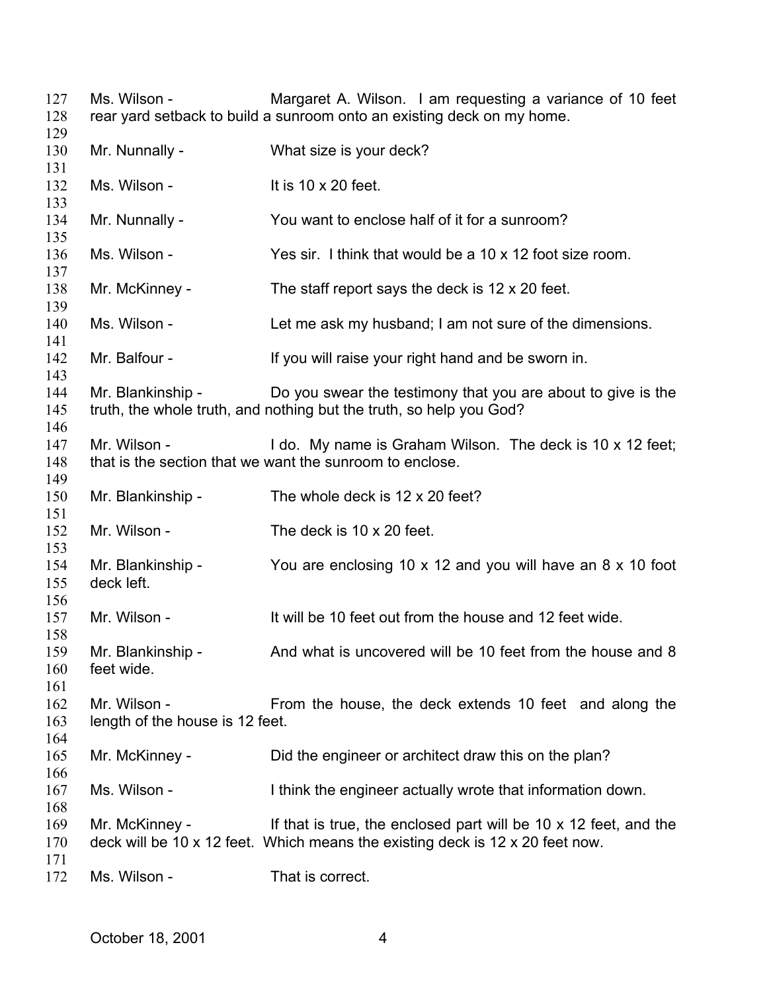Ms. Wilson - **Margaret A. Wilson.** I am requesting a variance of 10 feet rear yard setback to build a sunroom onto an existing deck on my home. Mr. Nunnally - What size is your deck? Ms. Wilson - It is 10 x 20 feet. Mr. Nunnally - You want to enclose half of it for a sunroom? Ms. Wilson - Yes sir. I think that would be a 10 x 12 foot size room. Mr. McKinney - The staff report says the deck is 12 x 20 feet. Ms. Wilson - Let me ask my husband; I am not sure of the dimensions. Mr. Balfour - If you will raise your right hand and be sworn in. Mr. Blankinship - Do you swear the testimony that you are about to give is the truth, the whole truth, and nothing but the truth, so help you God? Mr. Wilson - I do. My name is Graham Wilson. The deck is 10 x 12 feet; that is the section that we want the sunroom to enclose. Mr. Blankinship - The whole deck is 12 x 20 feet? Mr. Wilson - The deck is 10 x 20 feet. Mr. Blankinship - You are enclosing 10 x 12 and you will have an 8 x 10 foot deck left. Mr. Wilson - The Mull be 10 feet out from the house and 12 feet wide. Mr. Blankinship - And what is uncovered will be 10 feet from the house and 8 feet wide. Mr. Wilson - From the house, the deck extends 10 feet and along the length of the house is 12 feet. Mr. McKinney - Did the engineer or architect draw this on the plan? Ms. Wilson - Think the engineer actually wrote that information down. Mr. McKinney - If that is true, the enclosed part will be 10 x 12 feet, and the deck will be 10 x 12 feet. Which means the existing deck is 12 x 20 feet now.

 Ms. Wilson - That is correct.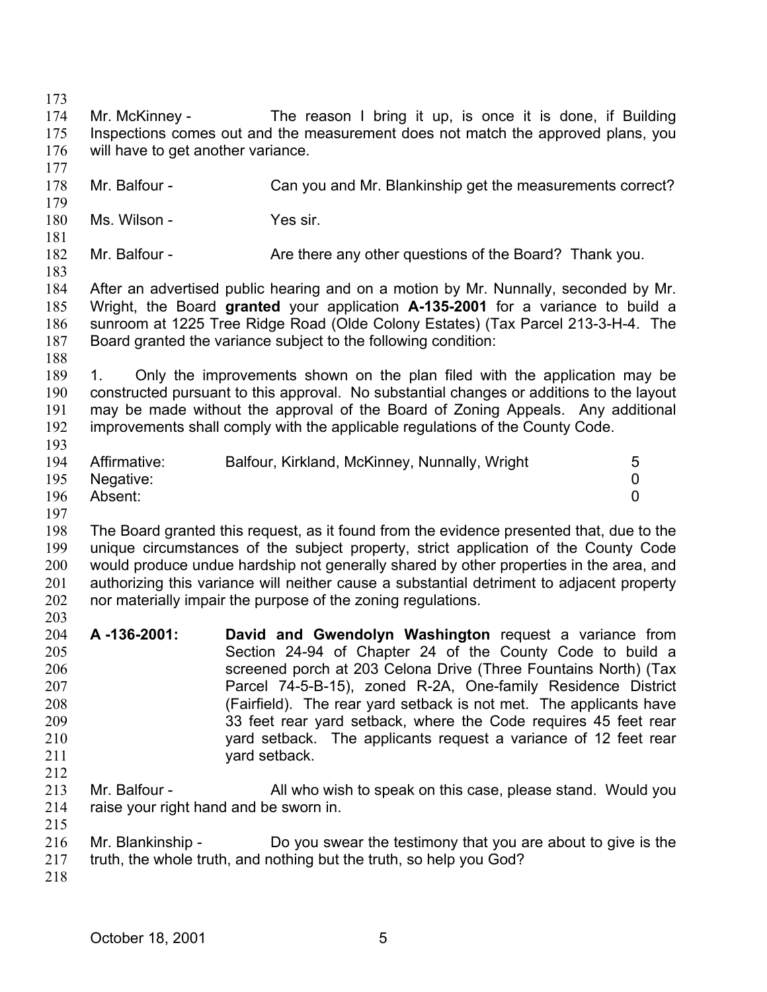173

174 175 176 177 178 179 180 181 182 183 184 185 186 187 188 189 190 191 192 193 194 195 196 197 198 199 200 201 202 203 204 205 206 207 208 209 210 211 212 213 214 215 216 217 218 Mr. McKinney - The reason I bring it up, is once it is done, if Building Inspections comes out and the measurement does not match the approved plans, you will have to get another variance. Mr. Balfour - Can you and Mr. Blankinship get the measurements correct? Ms. Wilson - Yes sir. Mr. Balfour - Are there any other questions of the Board? Thank you. After an advertised public hearing and on a motion by Mr. Nunnally, seconded by Mr. Wright, the Board **granted** your application **A-135-2001** for a variance to build a sunroom at 1225 Tree Ridge Road (Olde Colony Estates) (Tax Parcel 213-3-H-4. The Board granted the variance subject to the following condition: 1. Only the improvements shown on the plan filed with the application may be constructed pursuant to this approval. No substantial changes or additions to the layout may be made without the approval of the Board of Zoning Appeals. Any additional improvements shall comply with the applicable regulations of the County Code. Affirmative: Balfour, Kirkland, McKinney, Nunnally, Wright 5 Negative: 0 Absent: 0 The Board granted this request, as it found from the evidence presented that, due to the unique circumstances of the subject property, strict application of the County Code would produce undue hardship not generally shared by other properties in the area, and authorizing this variance will neither cause a substantial detriment to adjacent property nor materially impair the purpose of the zoning regulations. **A -136-2001: David and Gwendolyn Washington** request a variance from Section 24-94 of Chapter 24 of the County Code to build a screened porch at 203 Celona Drive (Three Fountains North) (Tax Parcel 74-5-B-15), zoned R-2A, One-family Residence District (Fairfield). The rear yard setback is not met. The applicants have 33 feet rear yard setback, where the Code requires 45 feet rear yard setback. The applicants request a variance of 12 feet rear yard setback. Mr. Balfour - All who wish to speak on this case, please stand. Would you raise your right hand and be sworn in. Mr. Blankinship - Do you swear the testimony that you are about to give is the truth, the whole truth, and nothing but the truth, so help you God?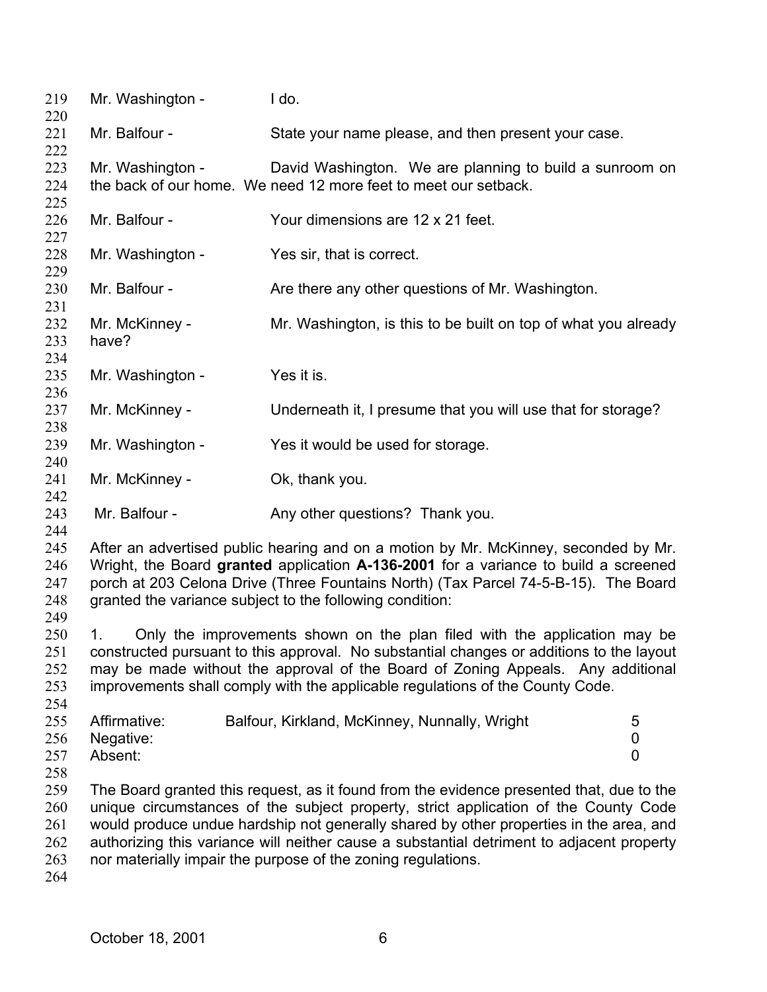| 219<br>220                             | Mr. Washington -                                                                                                                                                                                                                                                                                                                                | I do.                                                                                                                                                                                                                                                                                                                                                                                                                                  |  |  |
|----------------------------------------|-------------------------------------------------------------------------------------------------------------------------------------------------------------------------------------------------------------------------------------------------------------------------------------------------------------------------------------------------|----------------------------------------------------------------------------------------------------------------------------------------------------------------------------------------------------------------------------------------------------------------------------------------------------------------------------------------------------------------------------------------------------------------------------------------|--|--|
| 221<br>222                             | Mr. Balfour -                                                                                                                                                                                                                                                                                                                                   | State your name please, and then present your case.                                                                                                                                                                                                                                                                                                                                                                                    |  |  |
| 223<br>224<br>225                      | Mr. Washington -                                                                                                                                                                                                                                                                                                                                | David Washington. We are planning to build a sunroom on<br>the back of our home. We need 12 more feet to meet our setback.                                                                                                                                                                                                                                                                                                             |  |  |
| 226<br>227                             | Mr. Balfour -                                                                                                                                                                                                                                                                                                                                   | Your dimensions are 12 x 21 feet.                                                                                                                                                                                                                                                                                                                                                                                                      |  |  |
| 228<br>229                             | Mr. Washington -                                                                                                                                                                                                                                                                                                                                | Yes sir, that is correct.                                                                                                                                                                                                                                                                                                                                                                                                              |  |  |
| 230<br>231                             | Mr. Balfour -                                                                                                                                                                                                                                                                                                                                   | Are there any other questions of Mr. Washington.                                                                                                                                                                                                                                                                                                                                                                                       |  |  |
| 232<br>233<br>234                      | Mr. McKinney -<br>have?                                                                                                                                                                                                                                                                                                                         | Mr. Washington, is this to be built on top of what you already                                                                                                                                                                                                                                                                                                                                                                         |  |  |
| 235<br>236                             | Mr. Washington -                                                                                                                                                                                                                                                                                                                                | Yes it is.                                                                                                                                                                                                                                                                                                                                                                                                                             |  |  |
| 237<br>238                             | Mr. McKinney -                                                                                                                                                                                                                                                                                                                                  | Underneath it, I presume that you will use that for storage?                                                                                                                                                                                                                                                                                                                                                                           |  |  |
| 239<br>240                             | Mr. Washington -                                                                                                                                                                                                                                                                                                                                | Yes it would be used for storage.                                                                                                                                                                                                                                                                                                                                                                                                      |  |  |
| 241<br>242                             | Mr. McKinney -                                                                                                                                                                                                                                                                                                                                  | Ok, thank you.                                                                                                                                                                                                                                                                                                                                                                                                                         |  |  |
| 243<br>244                             | Mr. Balfour -                                                                                                                                                                                                                                                                                                                                   | Any other questions? Thank you.                                                                                                                                                                                                                                                                                                                                                                                                        |  |  |
| 245<br>246<br>247<br>248<br>249        | After an advertised public hearing and on a motion by Mr. McKinney, seconded by Mr.<br>Wright, the Board granted application A-136-2001 for a variance to build a screened<br>porch at 203 Celona Drive (Three Fountains North) (Tax Parcel 74-5-B-15). The Board<br>granted the variance subject to the following condition:                   |                                                                                                                                                                                                                                                                                                                                                                                                                                        |  |  |
| 250<br>251<br>252<br>253<br>254        | Only the improvements shown on the plan filed with the application may be<br>1.<br>constructed pursuant to this approval. No substantial changes or additions to the layout<br>may be made without the approval of the Board of Zoning Appeals. Any additional<br>improvements shall comply with the applicable regulations of the County Code. |                                                                                                                                                                                                                                                                                                                                                                                                                                        |  |  |
| 255<br>256<br>257<br>258               | Affirmative:<br>Negative:<br>Absent:                                                                                                                                                                                                                                                                                                            | Balfour, Kirkland, McKinney, Nunnally, Wright<br>5<br>0<br>$\overline{0}$                                                                                                                                                                                                                                                                                                                                                              |  |  |
| 259<br>260<br>261<br>262<br>263<br>264 |                                                                                                                                                                                                                                                                                                                                                 | The Board granted this request, as it found from the evidence presented that, due to the<br>unique circumstances of the subject property, strict application of the County Code<br>would produce undue hardship not generally shared by other properties in the area, and<br>authorizing this variance will neither cause a substantial detriment to adjacent property<br>nor materially impair the purpose of the zoning regulations. |  |  |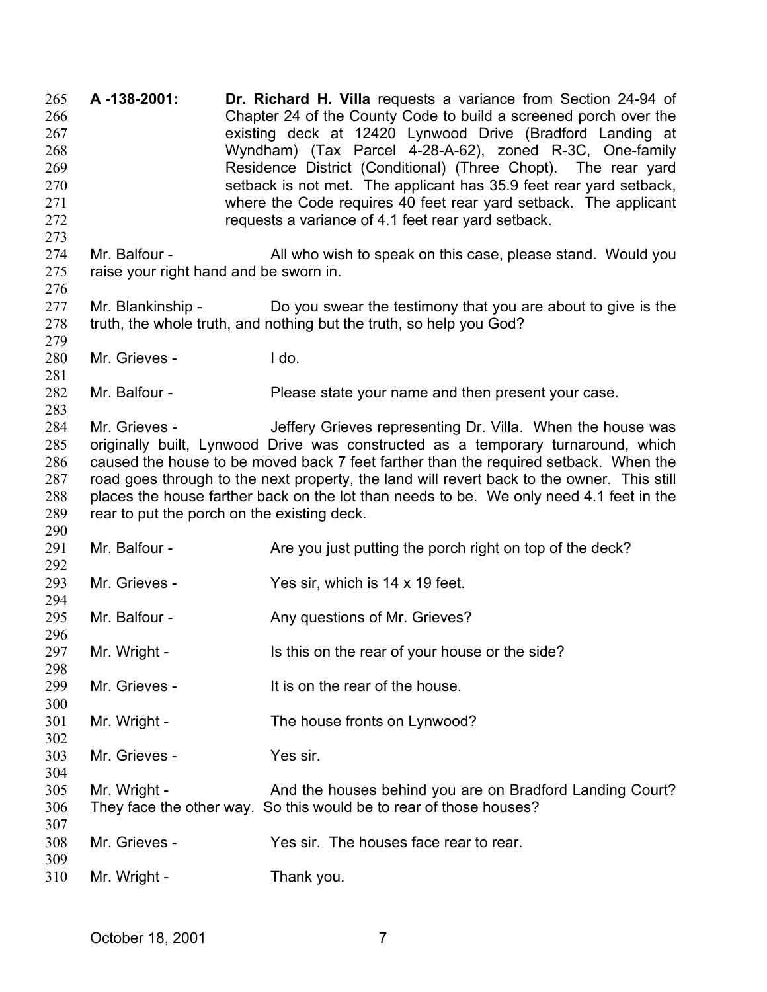**A -138-2001: Dr. Richard H. Villa** requests a variance from Section 24-94 of Chapter 24 of the County Code to build a screened porch over the existing deck at 12420 Lynwood Drive (Bradford Landing at Wyndham) (Tax Parcel 4-28-A-62), zoned R-3C, One-family Residence District (Conditional) (Three Chopt). The rear yard setback is not met. The applicant has 35.9 feet rear yard setback, where the Code requires 40 feet rear yard setback. The applicant requests a variance of 4.1 feet rear yard setback. 265 266 267 268 269 270 271 272 273 274 275 276 277 278 279 280 281 282 283 284 285 286 287 288 289 290 291 292 293 294 295 296 297 298 299 300 301 302 303 304 305 306 307 308 309 310 Mr. Balfour - All who wish to speak on this case, please stand. Would you raise your right hand and be sworn in. Mr. Blankinship - Do you swear the testimony that you are about to give is the truth, the whole truth, and nothing but the truth, so help you God? Mr. Grieves - I do. Mr. Balfour - Please state your name and then present your case. Mr. Grieves - The Jeffery Grieves representing Dr. Villa. When the house was originally built, Lynwood Drive was constructed as a temporary turnaround, which caused the house to be moved back 7 feet farther than the required setback. When the road goes through to the next property, the land will revert back to the owner. This still places the house farther back on the lot than needs to be. We only need 4.1 feet in the rear to put the porch on the existing deck. Mr. Balfour - **Are you just putting the porch right on top of the deck?** Mr. Grieves - Yes sir, which is 14 x 19 feet. Mr. Balfour - **Any questions of Mr. Grieves?** Mr. Wright - Is this on the rear of your house or the side? Mr. Grieves - The state of the house. Mr. Wright - The house fronts on Lynwood? Mr. Grieves - Yes sir. Mr. Wright - And the houses behind you are on Bradford Landing Court? They face the other way. So this would be to rear of those houses? Mr. Grieves - Yes sir. The houses face rear to rear. Mr. Wright - Thank you.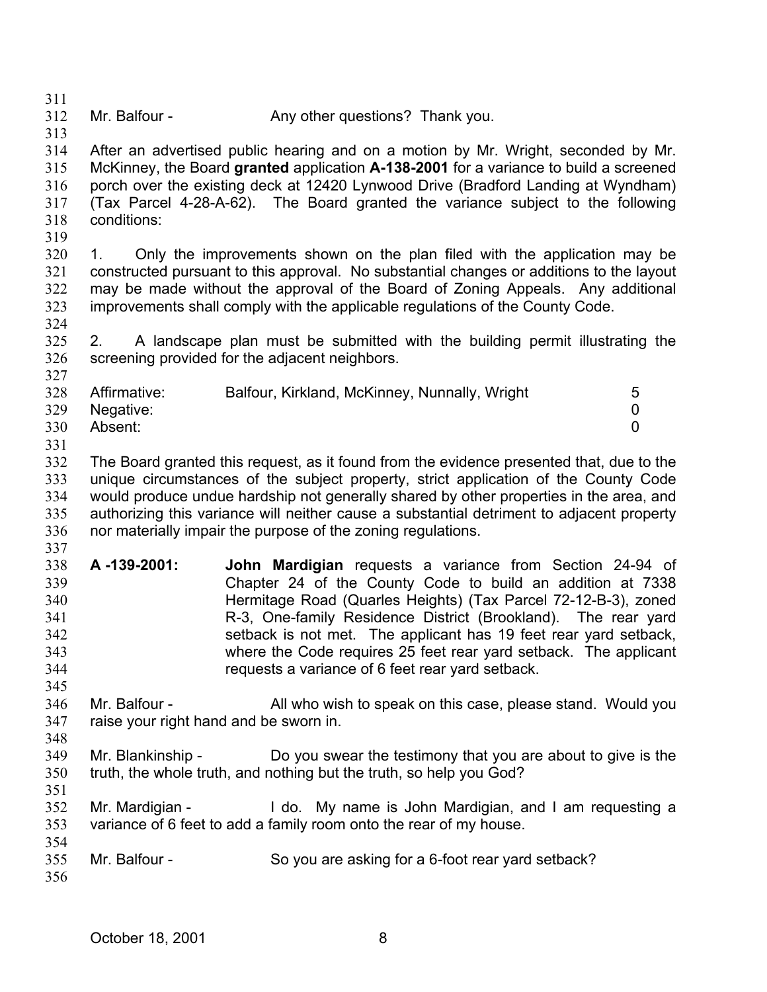311

312 Mr. Balfour - Any other questions? Thank you.

313 314

- After an advertised public hearing and on a motion by Mr. Wright, seconded by Mr.
- 315 316 317 318 McKinney, the Board **granted** application **A-138-2001** for a variance to build a screened porch over the existing deck at 12420 Lynwood Drive (Bradford Landing at Wyndham) (Tax Parcel 4-28-A-62). The Board granted the variance subject to the following conditions:
- 319

320 321 322 323 324 1. Only the improvements shown on the plan filed with the application may be constructed pursuant to this approval. No substantial changes or additions to the layout may be made without the approval of the Board of Zoning Appeals. Any additional improvements shall comply with the applicable regulations of the County Code.

325 326 327 2. A landscape plan must be submitted with the building permit illustrating the screening provided for the adjacent neighbors.

| 328 | Affirmative: | Balfour, Kirkland, McKinney, Nunnally, Wright | 5 |
|-----|--------------|-----------------------------------------------|---|
|     |              |                                               |   |
| 329 | Negative:    |                                               |   |
| 330 | Absent:      |                                               |   |
| 331 |              |                                               |   |

- 332 333 334 335 336 The Board granted this request, as it found from the evidence presented that, due to the unique circumstances of the subject property, strict application of the County Code would produce undue hardship not generally shared by other properties in the area, and authorizing this variance will neither cause a substantial detriment to adjacent property nor materially impair the purpose of the zoning regulations.
- 337
- 338 339 340 341 342 343 344 **A -139-2001: John Mardigian** requests a variance from Section 24-94 of Chapter 24 of the County Code to build an addition at 7338 Hermitage Road (Quarles Heights) (Tax Parcel 72-12-B-3), zoned R-3, One-family Residence District (Brookland). The rear yard setback is not met. The applicant has 19 feet rear yard setback, where the Code requires 25 feet rear yard setback. The applicant requests a variance of 6 feet rear yard setback.
- 345 346 347 348 Mr. Balfour - All who wish to speak on this case, please stand. Would you raise your right hand and be sworn in.
- 349 350 Mr. Blankinship - Do you swear the testimony that you are about to give is the truth, the whole truth, and nothing but the truth, so help you God?
- 351 352 353 354 Mr. Mardigian - I do. My name is John Mardigian, and I am requesting a variance of 6 feet to add a family room onto the rear of my house.
- 355 Mr. Balfour - So you are asking for a 6-foot rear yard setback?
- 356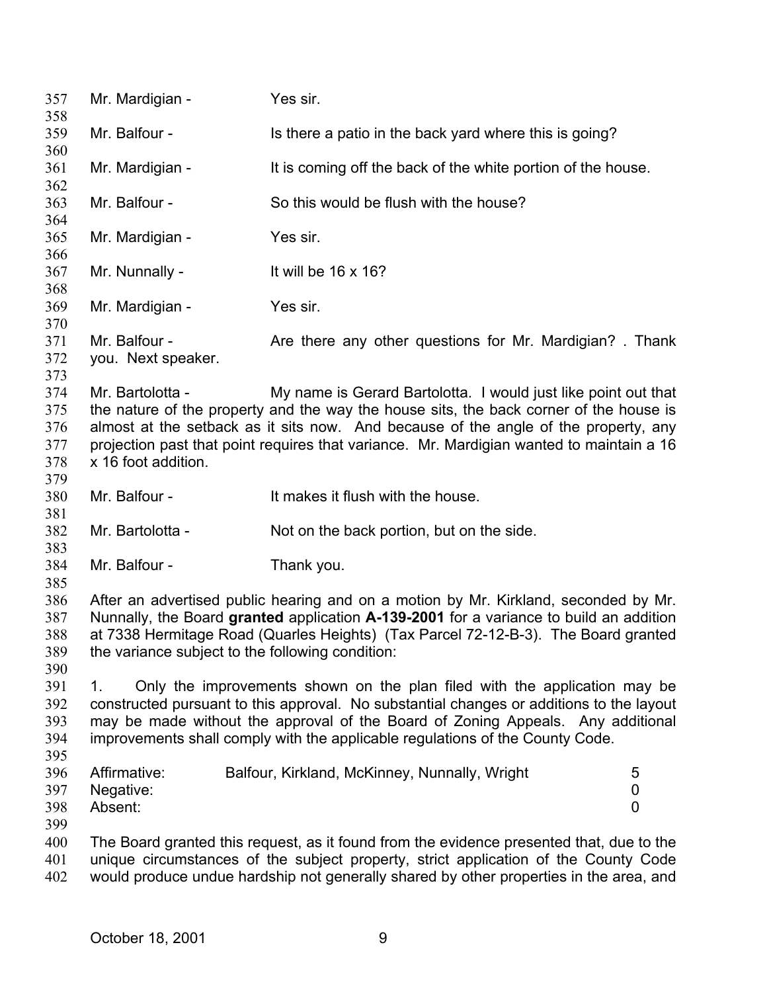357 Mr. Mardigian - Yes sir. 358 359 360 361 362 363 364 365 366 367 368 369 370 371 372 373 374 375 376 377 378 379 380 381 382 383 384 385 386 387 388 389 390 391 392 393 394 395 396 397 398 399 400 401 402 Mr. Balfour - Is there a patio in the back yard where this is going? Mr. Mardigian - It is coming off the back of the white portion of the house. Mr. Balfour - So this would be flush with the house? Mr. Mardigian - Yes sir. Mr. Nunnally - It will be 16 x 16? Mr. Mardigian - Yes sir. Mr. Balfour - **Are there any other questions for Mr. Mardigian?** Thank you. Next speaker. Mr. Bartolotta - My name is Gerard Bartolotta. I would just like point out that the nature of the property and the way the house sits, the back corner of the house is almost at the setback as it sits now. And because of the angle of the property, any projection past that point requires that variance. Mr. Mardigian wanted to maintain a 16 x 16 foot addition. Mr. Balfour - The Music set of the house. Mr. Bartolotta - Not on the back portion, but on the side. Mr. Balfour - Thank you. After an advertised public hearing and on a motion by Mr. Kirkland, seconded by Mr. Nunnally, the Board **granted** application **A-139-2001** for a variance to build an addition at 7338 Hermitage Road (Quarles Heights) (Tax Parcel 72-12-B-3). The Board granted the variance subject to the following condition: 1. Only the improvements shown on the plan filed with the application may be constructed pursuant to this approval. No substantial changes or additions to the layout may be made without the approval of the Board of Zoning Appeals. Any additional improvements shall comply with the applicable regulations of the County Code. Affirmative: Balfour, Kirkland, McKinney, Nunnally, Wright 5 Negative: 0 Absent: 0 The Board granted this request, as it found from the evidence presented that, due to the unique circumstances of the subject property, strict application of the County Code would produce undue hardship not generally shared by other properties in the area, and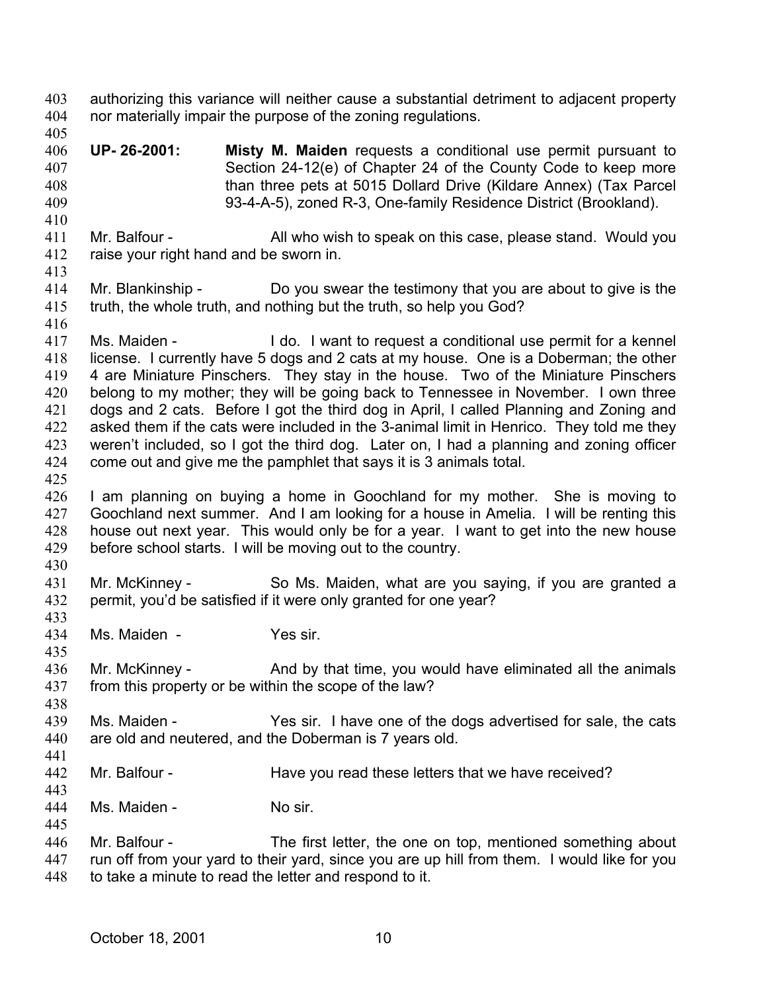authorizing this variance will neither cause a substantial detriment to adjacent property nor materially impair the purpose of the zoning regulations. 403 404 405 406 407 408 409 410 411 412 413 414 415 416 417 418 419 420 421 422 423 424 425 426 427 428 429 430 431 432 433 434 435 436 437 438 439 440 441 442 443 444 445 446 447 448 **UP- 26-2001: Misty M. Maiden** requests a conditional use permit pursuant to Section 24-12(e) of Chapter 24 of the County Code to keep more than three pets at 5015 Dollard Drive (Kildare Annex) (Tax Parcel 93-4-A-5), zoned R-3, One-family Residence District (Brookland). Mr. Balfour - All who wish to speak on this case, please stand. Would you raise your right hand and be sworn in. Mr. Blankinship - Do you swear the testimony that you are about to give is the truth, the whole truth, and nothing but the truth, so help you God? Ms. Maiden - The I do. I want to request a conditional use permit for a kennel license. I currently have 5 dogs and 2 cats at my house. One is a Doberman; the other 4 are Miniature Pinschers. They stay in the house. Two of the Miniature Pinschers belong to my mother; they will be going back to Tennessee in November. I own three dogs and 2 cats. Before I got the third dog in April, I called Planning and Zoning and asked them if the cats were included in the 3-animal limit in Henrico. They told me they weren't included, so I got the third dog. Later on, I had a planning and zoning officer come out and give me the pamphlet that says it is 3 animals total. I am planning on buying a home in Goochland for my mother. She is moving to Goochland next summer. And I am looking for a house in Amelia. I will be renting this house out next year. This would only be for a year. I want to get into the new house before school starts. I will be moving out to the country. Mr. McKinney - So Ms. Maiden, what are you saying, if you are granted a permit, you'd be satisfied if it were only granted for one year? Ms. Maiden - Yes sir. Mr. McKinney - And by that time, you would have eliminated all the animals from this property or be within the scope of the law? Ms. Maiden - Yes sir. I have one of the dogs advertised for sale, the cats are old and neutered, and the Doberman is 7 years old. Mr. Balfour - Have you read these letters that we have received? Ms. Maiden - No sir. Mr. Balfour - The first letter, the one on top, mentioned something about run off from your yard to their yard, since you are up hill from them. I would like for you to take a minute to read the letter and respond to it.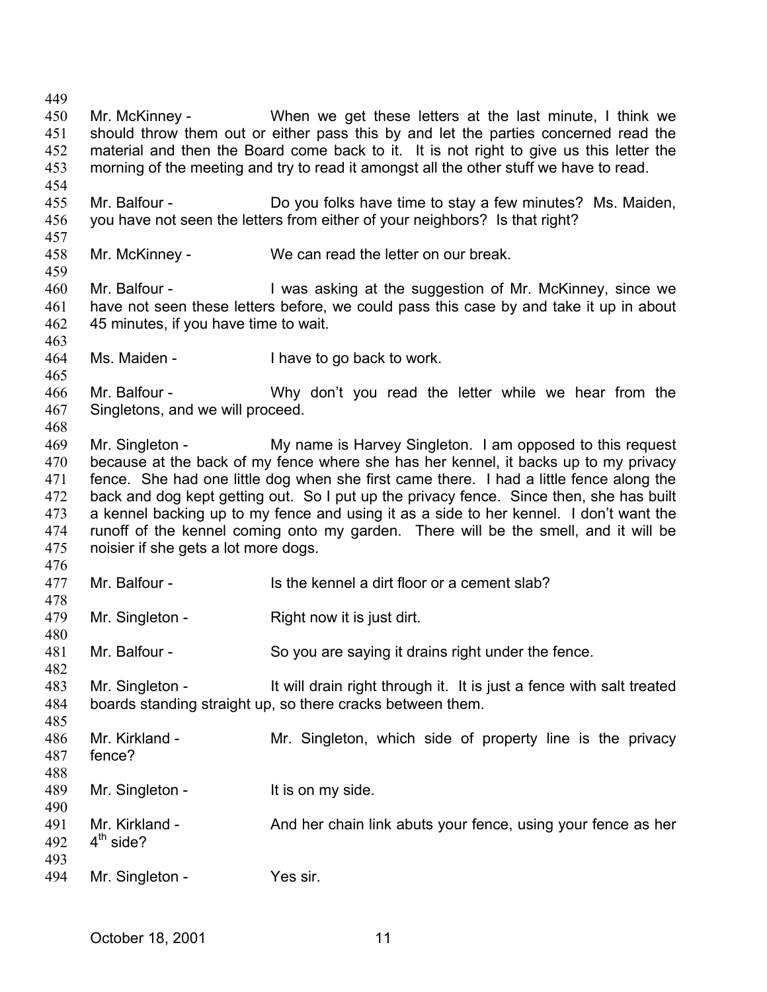449 450 451 452 453 454 455 456 457 458 459 460 461 462 463 464 465 466 467 468 469 470 471 472 473 474 475 476 477 478 479 480 481 482 483 484 485 486 487 488 489 490 491 492 493 494 Mr. McKinney - When we get these letters at the last minute, I think we should throw them out or either pass this by and let the parties concerned read the material and then the Board come back to it. It is not right to give us this letter the morning of the meeting and try to read it amongst all the other stuff we have to read. Mr. Balfour - Do you folks have time to stay a few minutes? Ms. Maiden, you have not seen the letters from either of your neighbors? Is that right? Mr. McKinney - We can read the letter on our break. Mr. Balfour - I was asking at the suggestion of Mr. McKinney, since we have not seen these letters before, we could pass this case by and take it up in about 45 minutes, if you have time to wait. Ms. Maiden - I have to go back to work. Mr. Balfour - Why don't you read the letter while we hear from the Singletons, and we will proceed. Mr. Singleton - My name is Harvey Singleton. I am opposed to this request because at the back of my fence where she has her kennel, it backs up to my privacy fence. She had one little dog when she first came there. I had a little fence along the back and dog kept getting out. So I put up the privacy fence. Since then, she has built a kennel backing up to my fence and using it as a side to her kennel. I don't want the runoff of the kennel coming onto my garden. There will be the smell, and it will be noisier if she gets a lot more dogs. Mr. Balfour - The State kennel a dirt floor or a cement slab? Mr. Singleton - Right now it is just dirt. Mr. Balfour - So you are saying it drains right under the fence. Mr. Singleton - It will drain right through it. It is just a fence with salt treated boards standing straight up, so there cracks between them. Mr. Kirkland - The Mr. Singleton, which side of property line is the privacy fence? Mr. Singleton - It is on my side. Mr. Kirkland - And her chain link abuts your fence, using your fence as her  $4<sup>th</sup>$  side? Mr. Singleton - Yes sir.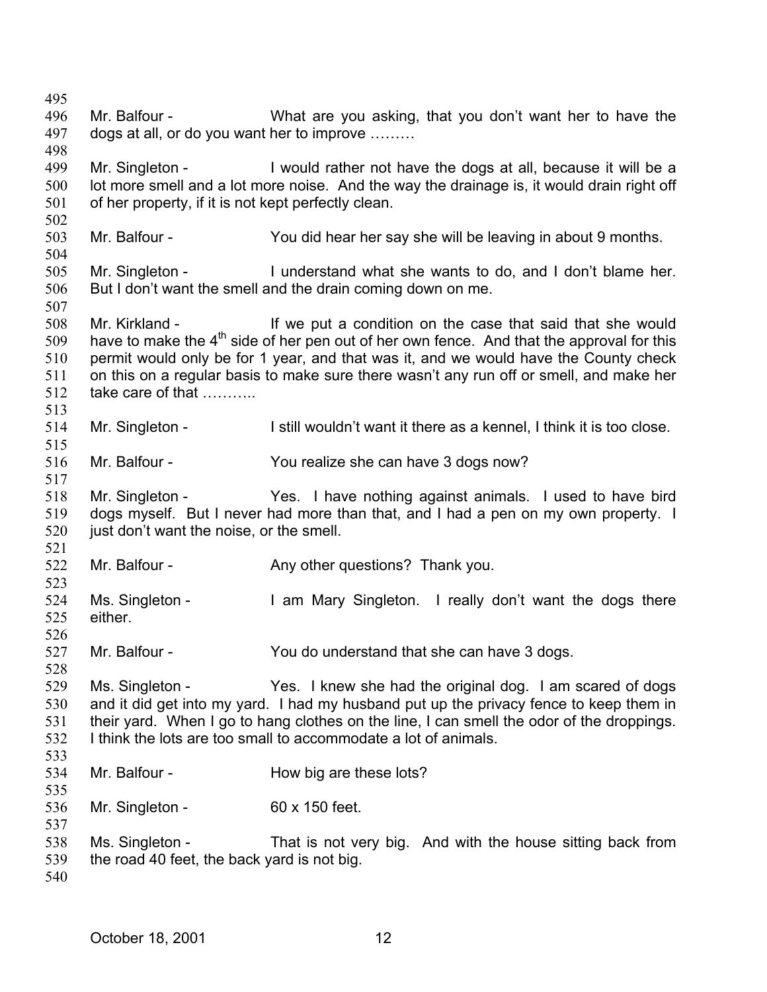495 496 497 498 499 500 501 502 503 504 505 506 507 508 509 510 511 512 513 514 515 516 517 518 519 520 521 522 523 524 525 526 527 528 529 530 531 532 533 534 535 536 537 538 539 540 Mr. Balfour - What are you asking, that you don't want her to have the dogs at all, or do you want her to improve ……… Mr. Singleton - I would rather not have the dogs at all, because it will be a lot more smell and a lot more noise. And the way the drainage is, it would drain right off of her property, if it is not kept perfectly clean. Mr. Balfour - You did hear her say she will be leaving in about 9 months. Mr. Singleton - I understand what she wants to do, and I don't blame her. But I don't want the smell and the drain coming down on me. Mr. Kirkland - If we put a condition on the case that said that she would have to make the  $4<sup>th</sup>$  side of her pen out of her own fence. And that the approval for this permit would only be for 1 year, and that was it, and we would have the County check on this on a regular basis to make sure there wasn't any run off or smell, and make her take care of that ……….. Mr. Singleton - I still wouldn't want it there as a kennel, I think it is too close. Mr. Balfour - You realize she can have 3 dogs now? Mr. Singleton - Yes. I have nothing against animals. I used to have bird dogs myself. But I never had more than that, and I had a pen on my own property. I just don't want the noise, or the smell. Mr. Balfour - Any other questions? Thank you. Ms. Singleton - I am Mary Singleton. I really don't want the dogs there either. Mr. Balfour - You do understand that she can have 3 dogs. Ms. Singleton - Yes. I knew she had the original dog. I am scared of dogs and it did get into my yard. I had my husband put up the privacy fence to keep them in their yard. When I go to hang clothes on the line, I can smell the odor of the droppings. I think the lots are too small to accommodate a lot of animals. Mr. Balfour - **How big are these lots?** Mr. Singleton - 60 x 150 feet. Ms. Singleton - That is not very big. And with the house sitting back from the road 40 feet, the back yard is not big.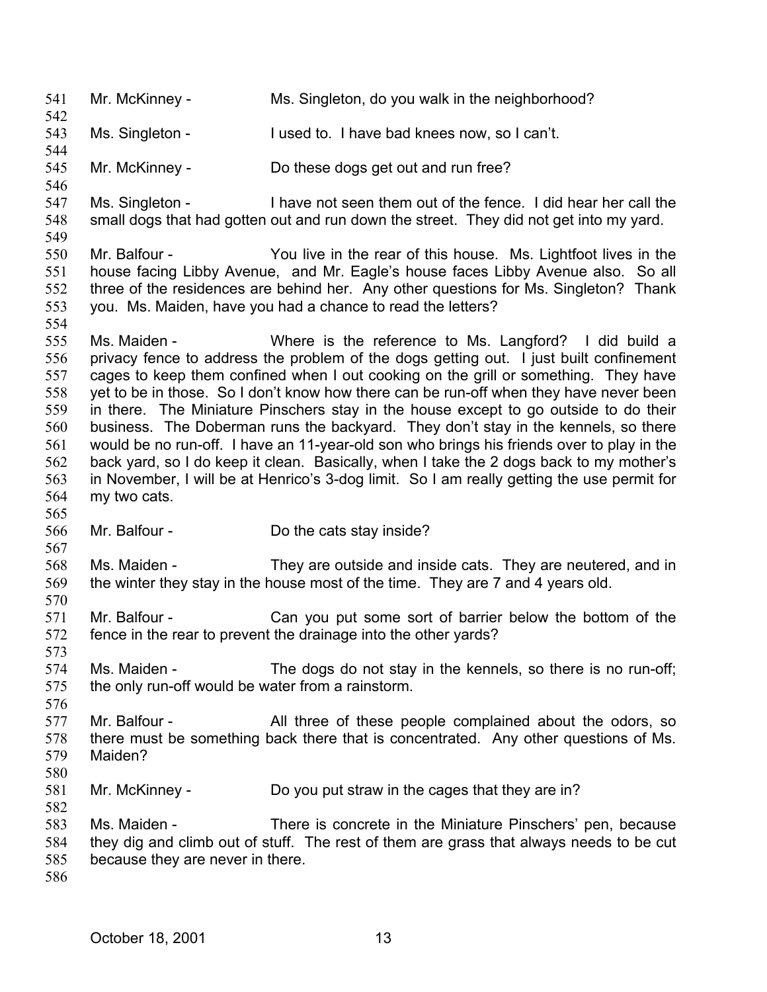541 Mr. McKinney - Ms. Singleton, do you walk in the neighborhood? 542 543 544 545 546 547 548 549 550 551 552 553 554 555 556 557 558 559 560 561 562 563 564 565 566 567 568 569 570 571 572 573 574 575 576 577 578 579 580 581 582 583 584 585 586 Ms. Singleton - I used to. I have bad knees now, so I can't. Mr. McKinney - Do these dogs get out and run free? Ms. Singleton - I have not seen them out of the fence. I did hear her call the small dogs that had gotten out and run down the street. They did not get into my yard. Mr. Balfour - You live in the rear of this house. Ms. Lightfoot lives in the house facing Libby Avenue, and Mr. Eagle's house faces Libby Avenue also. So all three of the residences are behind her. Any other questions for Ms. Singleton? Thank you. Ms. Maiden, have you had a chance to read the letters? Ms. Maiden - Where is the reference to Ms. Langford? I did build a privacy fence to address the problem of the dogs getting out. I just built confinement cages to keep them confined when I out cooking on the grill or something. They have yet to be in those. So I don't know how there can be run-off when they have never been in there. The Miniature Pinschers stay in the house except to go outside to do their business. The Doberman runs the backyard. They don't stay in the kennels, so there would be no run-off. I have an 11-year-old son who brings his friends over to play in the back yard, so I do keep it clean. Basically, when I take the 2 dogs back to my mother's in November, I will be at Henrico's 3-dog limit. So I am really getting the use permit for my two cats. Mr. Balfour - Do the cats stay inside? Ms. Maiden - They are outside and inside cats. They are neutered, and in the winter they stay in the house most of the time. They are 7 and 4 years old. Mr. Balfour - Can you put some sort of barrier below the bottom of the fence in the rear to prevent the drainage into the other yards? Ms. Maiden - The dogs do not stay in the kennels, so there is no run-off; the only run-off would be water from a rainstorm. Mr. Balfour - The All three of these people complained about the odors, so there must be something back there that is concentrated. Any other questions of Ms. Maiden? Mr. McKinney - Do you put straw in the cages that they are in? Ms. Maiden - There is concrete in the Miniature Pinschers' pen, because they dig and climb out of stuff. The rest of them are grass that always needs to be cut because they are never in there.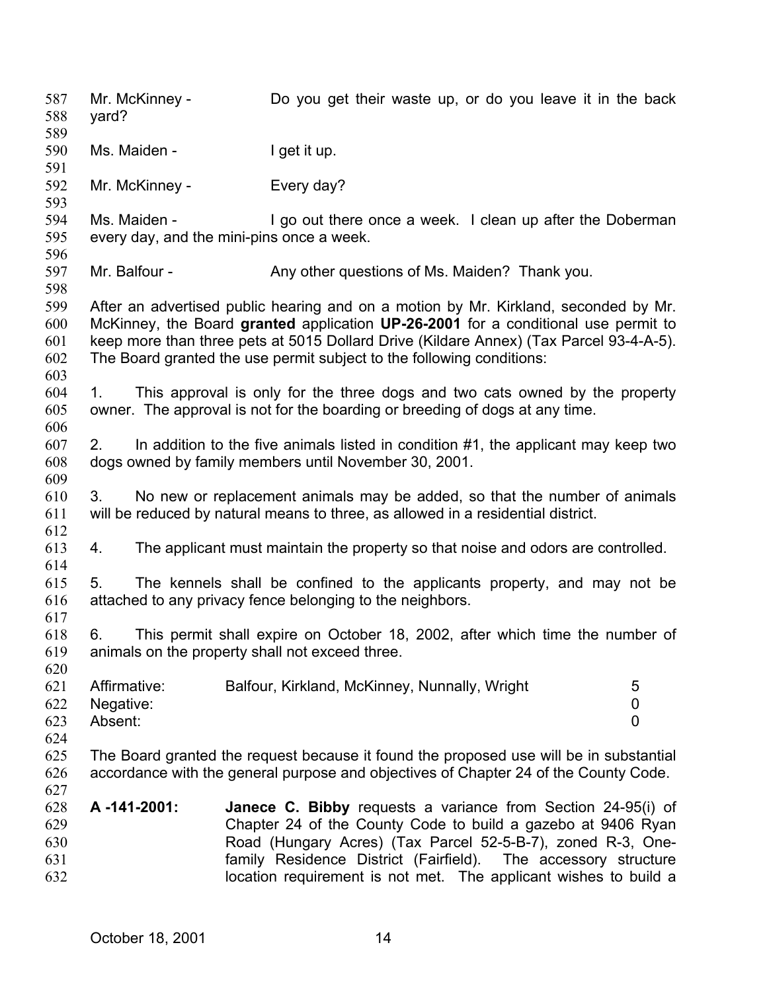Mr. McKinney - Do you get their waste up, or do you leave it in the back yard? 587 588 589 590 591 592 593 594 595 596 597 598 599 600 601 602 603 604 605 606 607 608 609 610 611 612 613 614 615 616 617 618 619 620 621 622 623 624 625 626 627 628 629 630 631 632 Ms. Maiden - I get it up. Mr. McKinney - Every day? Ms. Maiden - I go out there once a week. I clean up after the Doberman every day, and the mini-pins once a week. Mr. Balfour - Any other questions of Ms. Maiden? Thank you. After an advertised public hearing and on a motion by Mr. Kirkland, seconded by Mr. McKinney, the Board **granted** application **UP-26-2001** for a conditional use permit to keep more than three pets at 5015 Dollard Drive (Kildare Annex) (Tax Parcel 93-4-A-5). The Board granted the use permit subject to the following conditions: 1. This approval is only for the three dogs and two cats owned by the property owner. The approval is not for the boarding or breeding of dogs at any time. 2. In addition to the five animals listed in condition #1, the applicant may keep two dogs owned by family members until November 30, 2001. 3. No new or replacement animals may be added, so that the number of animals will be reduced by natural means to three, as allowed in a residential district. 4. The applicant must maintain the property so that noise and odors are controlled. 5. The kennels shall be confined to the applicants property, and may not be attached to any privacy fence belonging to the neighbors. 6. This permit shall expire on October 18, 2002, after which time the number of animals on the property shall not exceed three. Affirmative: Balfour, Kirkland, McKinney, Nunnally, Wright 5 Negative: 0 Absent: 0 The Board granted the request because it found the proposed use will be in substantial accordance with the general purpose and objectives of Chapter 24 of the County Code. **A -141-2001: Janece C. Bibby** requests a variance from Section 24-95(i) of Chapter 24 of the County Code to build a gazebo at 9406 Ryan Road (Hungary Acres) (Tax Parcel 52-5-B-7), zoned R-3, Onefamily Residence District (Fairfield). The accessory structure location requirement is not met. The applicant wishes to build a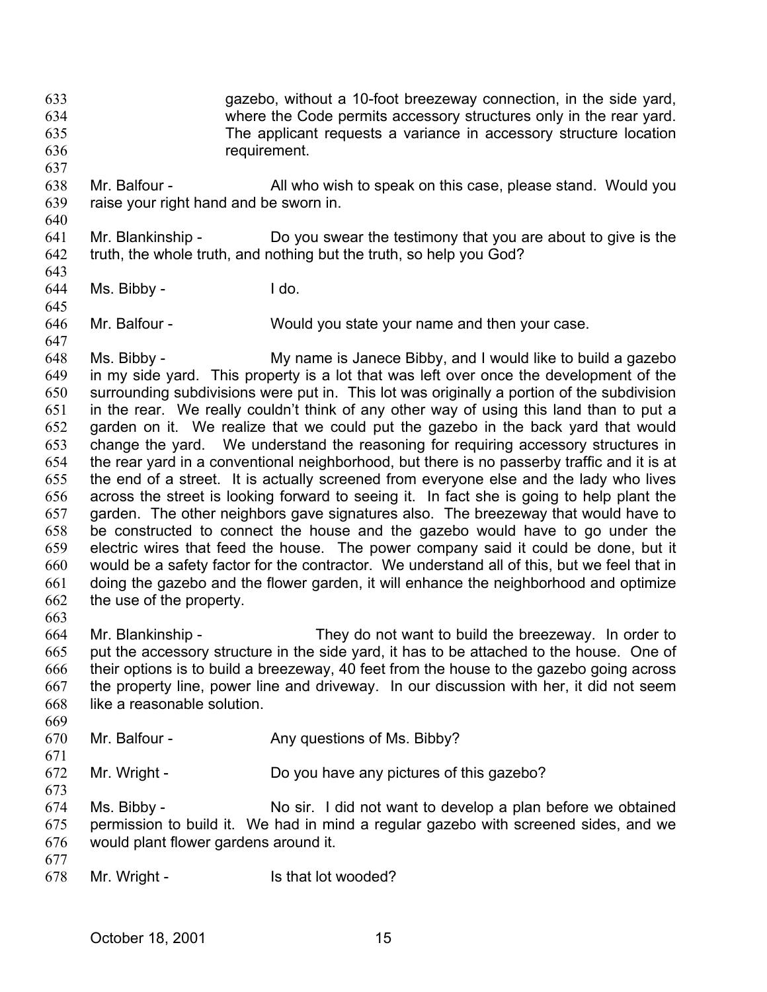gazebo, without a 10-foot breezeway connection, in the side yard, where the Code permits accessory structures only in the rear yard. The applicant requests a variance in accessory structure location requirement. 633 634 635 636

- 638 639 Mr. Balfour - All who wish to speak on this case, please stand. Would you raise your right hand and be sworn in.
- 640

643

645

647

637

641 642 Mr. Blankinship - Do you swear the testimony that you are about to give is the truth, the whole truth, and nothing but the truth, so help you God?

644 Ms. Bibby - I do.

646 Mr. Balfour - Would you state your name and then your case.

648 649 650 651 652 653 654 655 656 657 658 659 660 661 662 Ms. Bibby - My name is Janece Bibby, and I would like to build a gazebo in my side yard. This property is a lot that was left over once the development of the surrounding subdivisions were put in. This lot was originally a portion of the subdivision in the rear. We really couldn't think of any other way of using this land than to put a garden on it. We realize that we could put the gazebo in the back yard that would change the yard. We understand the reasoning for requiring accessory structures in the rear yard in a conventional neighborhood, but there is no passerby traffic and it is at the end of a street. It is actually screened from everyone else and the lady who lives across the street is looking forward to seeing it. In fact she is going to help plant the garden. The other neighbors gave signatures also. The breezeway that would have to be constructed to connect the house and the gazebo would have to go under the electric wires that feed the house. The power company said it could be done, but it would be a safety factor for the contractor. We understand all of this, but we feel that in doing the gazebo and the flower garden, it will enhance the neighborhood and optimize the use of the property.

664 665 666 667 668 Mr. Blankinship - They do not want to build the breezeway. In order to put the accessory structure in the side yard, it has to be attached to the house. One of their options is to build a breezeway, 40 feet from the house to the gazebo going across the property line, power line and driveway. In our discussion with her, it did not seem like a reasonable solution.

670 Mr. Balfour - Any questions of Ms. Bibby?

672 Mr. Wright - Do you have any pictures of this gazebo?

674 675 676 Ms. Bibby - No sir. I did not want to develop a plan before we obtained permission to build it. We had in mind a regular gazebo with screened sides, and we would plant flower gardens around it.

677

663

669

671

673

678 Mr. Wright - Is that lot wooded?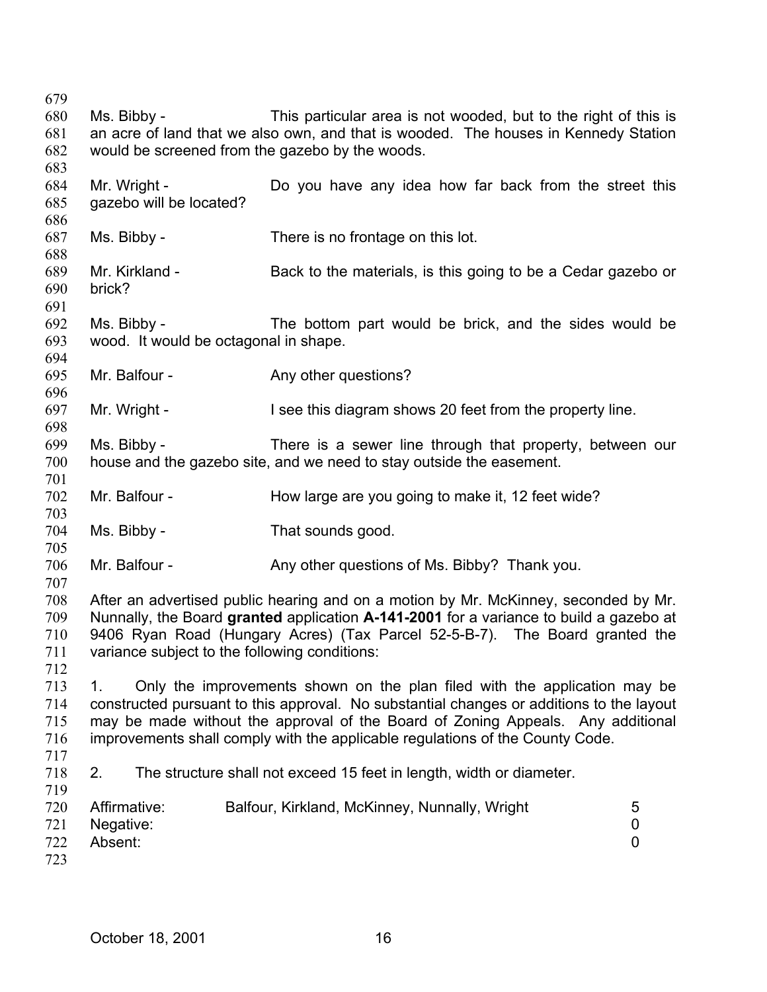679 680 681 682 683 684 685 686 687 688 689 690 691 692 693 694 695 696 697 698 699 700 701 702 703 704 705 706 707 708 709 710 711 712 713 714 715 716 717 718 719 720 721 722 723 Ms. Bibby - This particular area is not wooded, but to the right of this is an acre of land that we also own, and that is wooded. The houses in Kennedy Station would be screened from the gazebo by the woods. Mr. Wright - Do you have any idea how far back from the street this gazebo will be located? Ms. Bibby - There is no frontage on this lot. Mr. Kirkland - Back to the materials, is this going to be a Cedar gazebo or brick? Ms. Bibby - The bottom part would be brick, and the sides would be wood. It would be octagonal in shape. Mr. Balfour - Any other questions? Mr. Wright - I see this diagram shows 20 feet from the property line. Ms. Bibby - There is a sewer line through that property, between our house and the gazebo site, and we need to stay outside the easement. Mr. Balfour - How large are you going to make it, 12 feet wide? Ms. Bibby - That sounds good. Mr. Balfour - Any other questions of Ms. Bibby? Thank you. After an advertised public hearing and on a motion by Mr. McKinney, seconded by Mr. Nunnally, the Board **granted** application **A-141-2001** for a variance to build a gazebo at 9406 Ryan Road (Hungary Acres) (Tax Parcel 52-5-B-7). The Board granted the variance subject to the following conditions: 1. Only the improvements shown on the plan filed with the application may be constructed pursuant to this approval. No substantial changes or additions to the layout may be made without the approval of the Board of Zoning Appeals. Any additional improvements shall comply with the applicable regulations of the County Code. 2. The structure shall not exceed 15 feet in length, width or diameter. Affirmative: Balfour, Kirkland, McKinney, Nunnally, Wright 5 Negative: 0 Absent: 0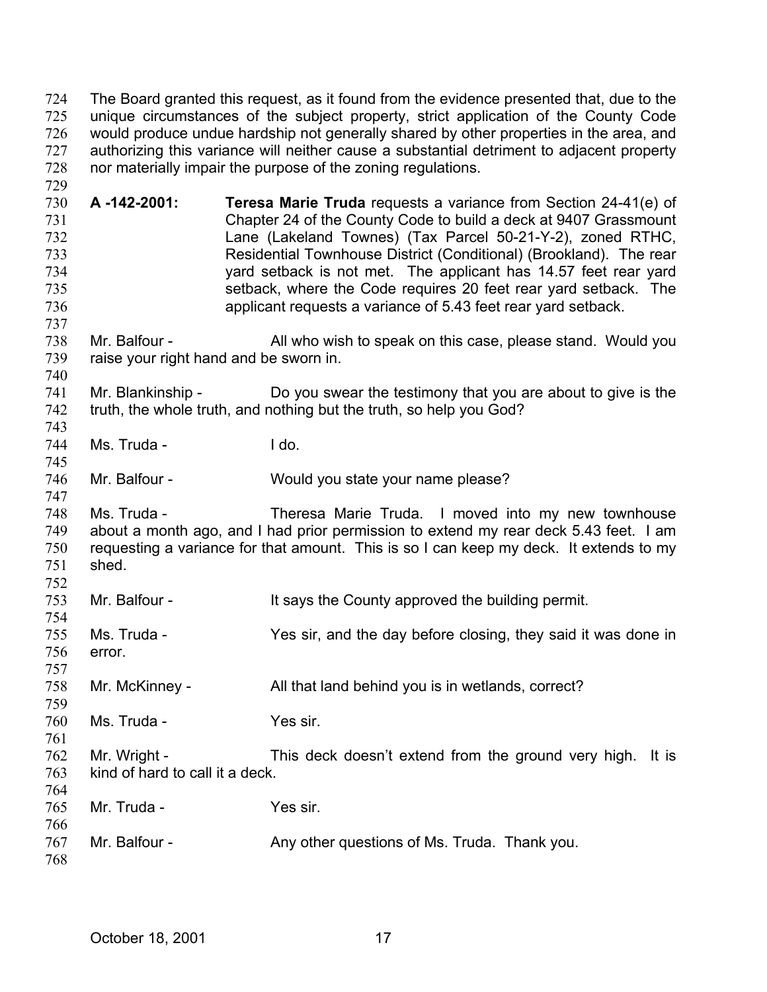The Board granted this request, as it found from the evidence presented that, due to the unique circumstances of the subject property, strict application of the County Code would produce undue hardship not generally shared by other properties in the area, and authorizing this variance will neither cause a substantial detriment to adjacent property nor materially impair the purpose of the zoning regulations. 724 725 726 727 728

- 730 731 732 733 734 735 736 **A -142-2001: Teresa Marie Truda** requests a variance from Section 24-41(e) of Chapter 24 of the County Code to build a deck at 9407 Grassmount Lane (Lakeland Townes) (Tax Parcel 50-21-Y-2), zoned RTHC, Residential Townhouse District (Conditional) (Brookland). The rear yard setback is not met. The applicant has 14.57 feet rear yard setback, where the Code requires 20 feet rear yard setback. The applicant requests a variance of 5.43 feet rear yard setback.
- 738 739 Mr. Balfour - All who wish to speak on this case, please stand. Would you raise your right hand and be sworn in.
- 741 742 743 Mr. Blankinship - Do you swear the testimony that you are about to give is the truth, the whole truth, and nothing but the truth, so help you God?
- 744 Ms. Truda - I do.

729

737

740

745

754

761

746 Mr. Balfour - Would you state your name please?

747 748 749 750 751 752 Ms. Truda - Theresa Marie Truda. I moved into my new townhouse about a month ago, and I had prior permission to extend my rear deck 5.43 feet. I am requesting a variance for that amount. This is so I can keep my deck. It extends to my shed.

- 753 Mr. Balfour - The Says the County approved the building permit.
- 755 756 Ms. Truda - Yes sir, and the day before closing, they said it was done in error.
- 757 758 Mr. McKinney - All that land behind you is in wetlands, correct?
- 759 760 Ms. Truda - Yes sir.
- 762 763 764 Mr. Wright - This deck doesn't extend from the ground very high. It is kind of hard to call it a deck.
- 765 766 767 768 Mr. Truda - Yes sir. Mr. Balfour - Any other questions of Ms. Truda. Thank you.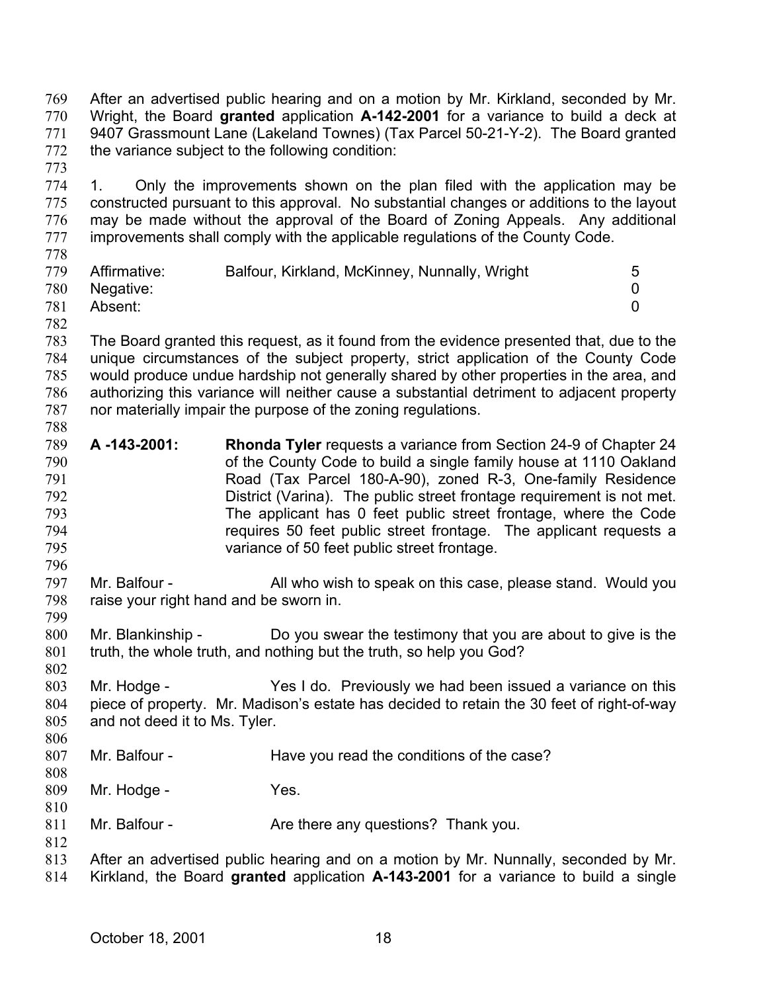After an advertised public hearing and on a motion by Mr. Kirkland, seconded by Mr. Wright, the Board **granted** application **A-142-2001** for a variance to build a deck at 9407 Grassmount Lane (Lakeland Townes) (Tax Parcel 50-21-Y-2). The Board granted the variance subject to the following condition: 769 770 771 772

774 775 776 777 1. Only the improvements shown on the plan filed with the application may be constructed pursuant to this approval. No substantial changes or additions to the layout may be made without the approval of the Board of Zoning Appeals. Any additional improvements shall comply with the applicable regulations of the County Code.

| 778 |              |                                               |   |
|-----|--------------|-----------------------------------------------|---|
| 779 | Affirmative: | Balfour, Kirkland, McKinney, Nunnally, Wright | 5 |
| 780 | Negative:    |                                               |   |
| 781 | Absent:      |                                               |   |

782

796

799

802

812

773

783 784 785 786 787 788 The Board granted this request, as it found from the evidence presented that, due to the unique circumstances of the subject property, strict application of the County Code would produce undue hardship not generally shared by other properties in the area, and authorizing this variance will neither cause a substantial detriment to adjacent property nor materially impair the purpose of the zoning regulations.

- 789 790 791 792 793 794 795 **A -143-2001: Rhonda Tyler** requests a variance from Section 24-9 of Chapter 24 of the County Code to build a single family house at 1110 Oakland Road (Tax Parcel 180-A-90), zoned R-3, One-family Residence District (Varina). The public street frontage requirement is not met. The applicant has 0 feet public street frontage, where the Code requires 50 feet public street frontage. The applicant requests a variance of 50 feet public street frontage.
- 797 798 Mr. Balfour - All who wish to speak on this case, please stand. Would you raise your right hand and be sworn in.
- 800 801 Mr. Blankinship - Do you swear the testimony that you are about to give is the truth, the whole truth, and nothing but the truth, so help you God?
- 803 804 805 Mr. Hodge - Yes I do. Previously we had been issued a variance on this piece of property. Mr. Madison's estate has decided to retain the 30 feet of right-of-way and not deed it to Ms. Tyler.
- 806 807 808 Mr. Balfour - The Have you read the conditions of the case?
- 809 810 Mr. Hodge - Yes.
- 811 Mr. Balfour - The Are there any questions? Thank you.
- 813 814 After an advertised public hearing and on a motion by Mr. Nunnally, seconded by Mr. Kirkland, the Board **granted** application **A-143-2001** for a variance to build a single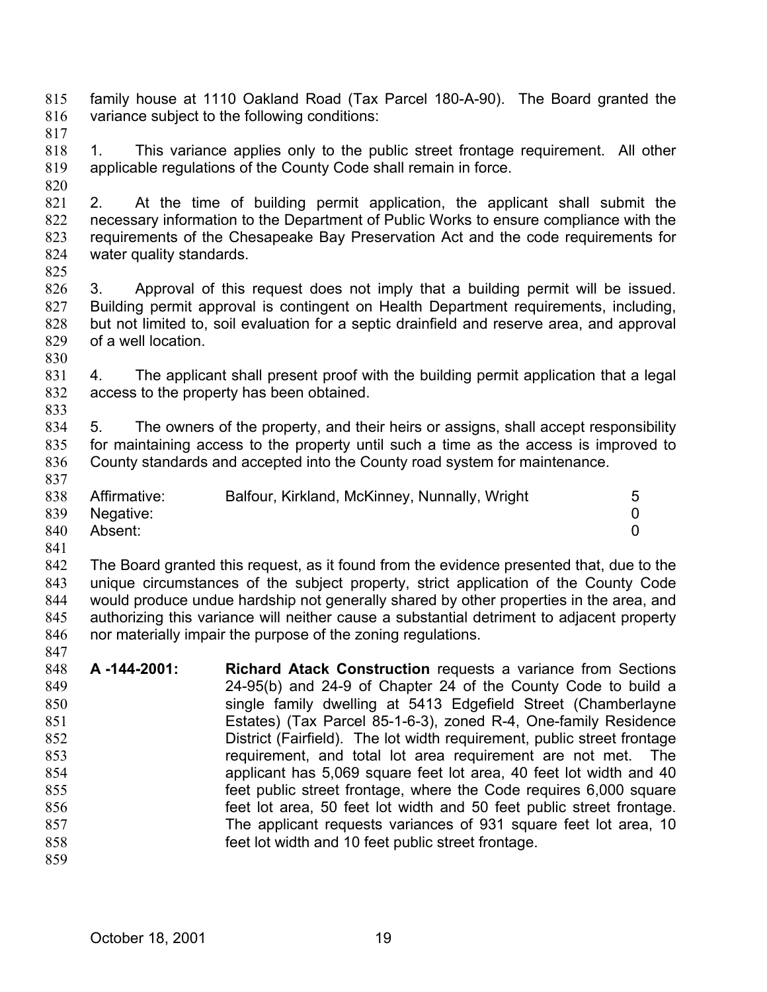- family house at 1110 Oakland Road (Tax Parcel 180-A-90). The Board granted the variance subject to the following conditions: 815 816
- 817
- 818 819 1. This variance applies only to the public street frontage requirement. All other applicable regulations of the County Code shall remain in force.
- 820 821 822 823 824 2. At the time of building permit application, the applicant shall submit the necessary information to the Department of Public Works to ensure compliance with the requirements of the Chesapeake Bay Preservation Act and the code requirements for water quality standards.
- 825

833

- 826 827 828 829 3. Approval of this request does not imply that a building permit will be issued. Building permit approval is contingent on Health Department requirements, including, but not limited to, soil evaluation for a septic drainfield and reserve area, and approval of a well location.
- 830 831 832 4. The applicant shall present proof with the building permit application that a legal access to the property has been obtained.
- 834 835 836 837 5. The owners of the property, and their heirs or assigns, shall accept responsibility for maintaining access to the property until such a time as the access is improved to County standards and accepted into the County road system for maintenance.

| 838 | Affirmative: | Balfour, Kirkland, McKinney, Nunnally, Wright |  |
|-----|--------------|-----------------------------------------------|--|
| 839 | Negative:    |                                               |  |
| 840 | Absent:      |                                               |  |

841

842 843 844 845 846 847 The Board granted this request, as it found from the evidence presented that, due to the unique circumstances of the subject property, strict application of the County Code would produce undue hardship not generally shared by other properties in the area, and authorizing this variance will neither cause a substantial detriment to adjacent property nor materially impair the purpose of the zoning regulations.

848 849 850 851 852 853 854 855 856 857 858 859 **A -144-2001: Richard Atack Construction** requests a variance from Sections 24-95(b) and 24-9 of Chapter 24 of the County Code to build a single family dwelling at 5413 Edgefield Street (Chamberlayne Estates) (Tax Parcel 85-1-6-3), zoned R-4, One-family Residence District (Fairfield). The lot width requirement, public street frontage requirement, and total lot area requirement are not met. The applicant has 5,069 square feet lot area, 40 feet lot width and 40 feet public street frontage, where the Code requires 6,000 square feet lot area, 50 feet lot width and 50 feet public street frontage. The applicant requests variances of 931 square feet lot area, 10 feet lot width and 10 feet public street frontage.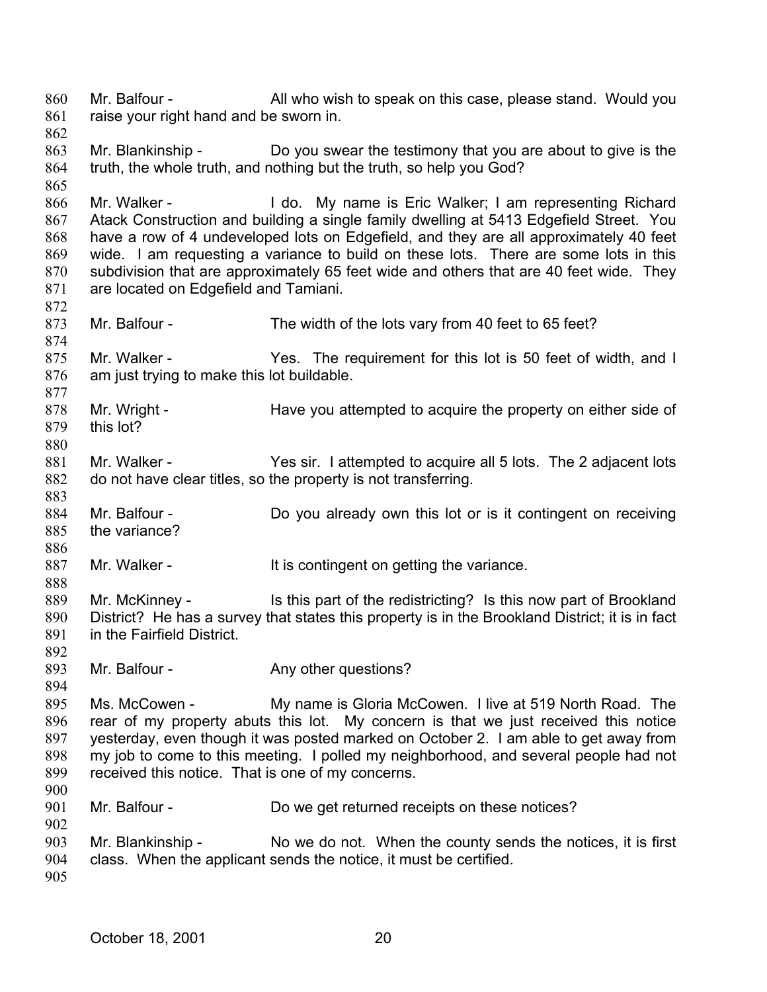Mr. Balfour - All who wish to speak on this case, please stand. Would you raise your right hand and be sworn in. 860 861 862 863 864 865 866 867 868 869 870 871 872 873 874 875 876 877 878 879 880 881 882 883 884 885 886 887 888 889 890 891 892 893 894 895 896 897 898 899 900 901 902 903 904 905 Mr. Blankinship - Do you swear the testimony that you are about to give is the truth, the whole truth, and nothing but the truth, so help you God? Mr. Walker - The Lido. My name is Eric Walker; I am representing Richard Atack Construction and building a single family dwelling at 5413 Edgefield Street. You have a row of 4 undeveloped lots on Edgefield, and they are all approximately 40 feet wide. I am requesting a variance to build on these lots. There are some lots in this subdivision that are approximately 65 feet wide and others that are 40 feet wide. They are located on Edgefield and Tamiani. Mr. Balfour - The width of the lots vary from 40 feet to 65 feet? Mr. Walker - The requirement for this lot is 50 feet of width, and I am just trying to make this lot buildable. Mr. Wright - The Have you attempted to acquire the property on either side of this lot? Mr. Walker - The Yes sir. I attempted to acquire all 5 lots. The 2 adjacent lots do not have clear titles, so the property is not transferring. Mr. Balfour - Do you already own this lot or is it contingent on receiving the variance? Mr. Walker - The Muslim state of the variance. Mr. McKinney - Is this part of the redistricting? Is this now part of Brookland District? He has a survey that states this property is in the Brookland District; it is in fact in the Fairfield District. Mr. Balfour - Any other questions? Ms. McCowen - My name is Gloria McCowen. I live at 519 North Road. The rear of my property abuts this lot. My concern is that we just received this notice yesterday, even though it was posted marked on October 2. I am able to get away from my job to come to this meeting. I polled my neighborhood, and several people had not received this notice. That is one of my concerns. Mr. Balfour - Do we get returned receipts on these notices? Mr. Blankinship - No we do not. When the county sends the notices, it is first class. When the applicant sends the notice, it must be certified.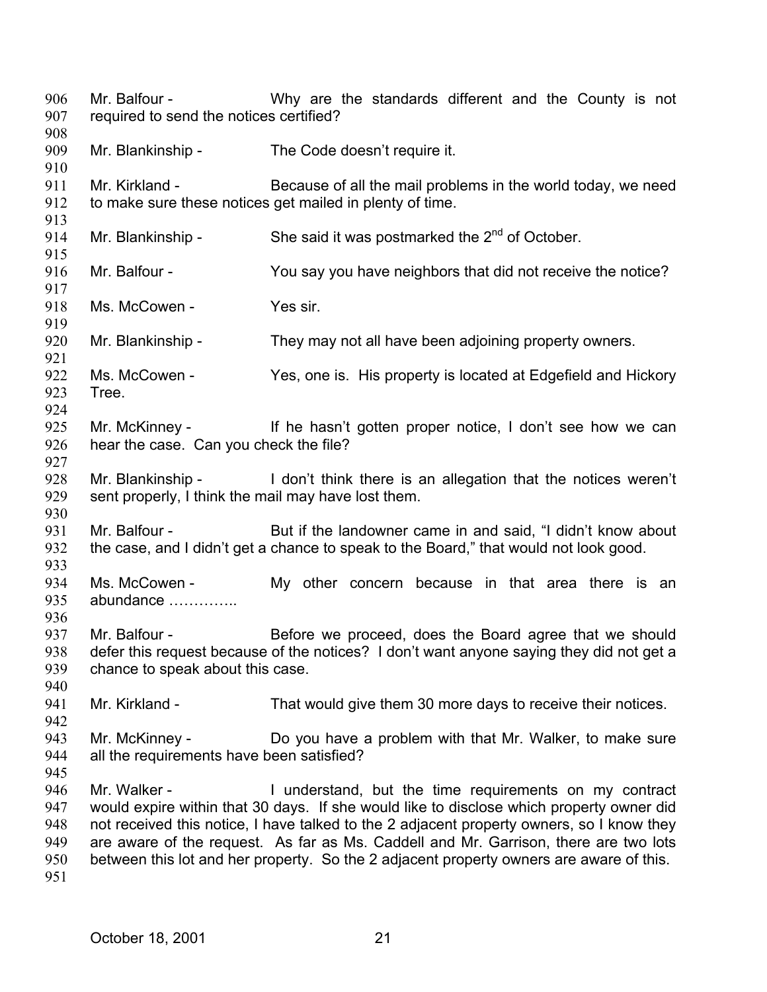Mr. Balfour - Why are the standards different and the County is not required to send the notices certified? 906 907 908 909 910 911 912 913 914 915 916 917 918 919 920 921 922 923 924 925 926 927 928 929 930 931 932 933 934 935 936 937 938 939 940 941 942 943 944 945 946 947 948 949 950 951 Mr. Blankinship - The Code doesn't require it. Mr. Kirkland - Because of all the mail problems in the world today, we need to make sure these notices get mailed in plenty of time. Mr. Blankinship - She said it was postmarked the  $2^{nd}$  of October. Mr. Balfour - You say you have neighbors that did not receive the notice? Ms. McCowen - Yes sir. Mr. Blankinship - They may not all have been adjoining property owners. Ms. McCowen - Yes, one is. His property is located at Edgefield and Hickory Tree. Mr. McKinney - If he hasn't gotten proper notice, I don't see how we can hear the case. Can you check the file? Mr. Blankinship - I don't think there is an allegation that the notices weren't sent properly, I think the mail may have lost them. Mr. Balfour - But if the landowner came in and said, "I didn't know about the case, and I didn't get a chance to speak to the Board," that would not look good. Ms. McCowen - My other concern because in that area there is an abundance ………….. Mr. Balfour - Before we proceed, does the Board agree that we should defer this request because of the notices? I don't want anyone saying they did not get a chance to speak about this case. Mr. Kirkland - That would give them 30 more days to receive their notices. Mr. McKinney - **Do** you have a problem with that Mr. Walker, to make sure all the requirements have been satisfied? Mr. Walker - The Understand, but the time requirements on my contract would expire within that 30 days. If she would like to disclose which property owner did not received this notice, I have talked to the 2 adjacent property owners, so I know they are aware of the request. As far as Ms. Caddell and Mr. Garrison, there are two lots between this lot and her property. So the 2 adjacent property owners are aware of this.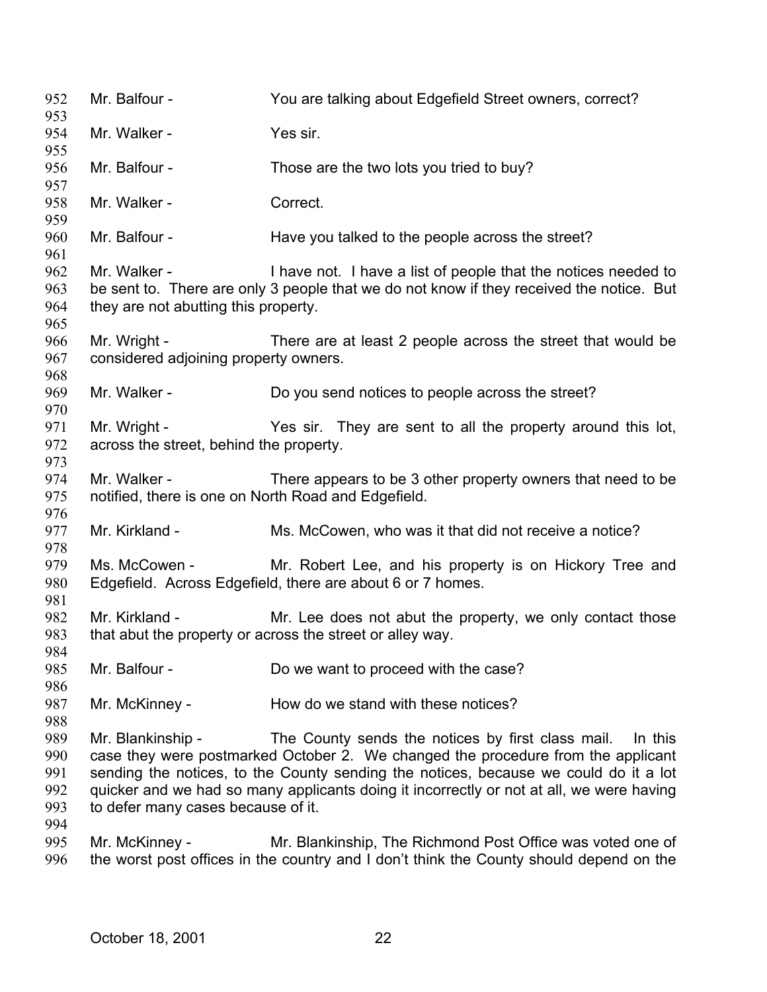Mr. Balfour - You are talking about Edgefield Street owners, correct? Mr. Walker - Yes sir. Mr. Balfour - Those are the two lots you tried to buy? Mr. Walker - Correct. Mr. Balfour - Have you talked to the people across the street? Mr. Walker - The I have not. I have a list of people that the notices needed to be sent to. There are only 3 people that we do not know if they received the notice. But they are not abutting this property. Mr. Wright - There are at least 2 people across the street that would be considered adjoining property owners. Mr. Walker - Do you send notices to people across the street? Mr. Wright - They are sent to all the property around this lot, across the street, behind the property. Mr. Walker - There appears to be 3 other property owners that need to be notified, there is one on North Road and Edgefield. Mr. Kirkland - Ms. McCowen, who was it that did not receive a notice? Ms. McCowen - Mr. Robert Lee, and his property is on Hickory Tree and Edgefield. Across Edgefield, there are about 6 or 7 homes. Mr. Kirkland - The Mr. Lee does not abut the property, we only contact those that abut the property or across the street or alley way. Mr. Balfour - Do we want to proceed with the case? Mr. McKinney - How do we stand with these notices? Mr. Blankinship - The County sends the notices by first class mail. In this case they were postmarked October 2. We changed the procedure from the applicant sending the notices, to the County sending the notices, because we could do it a lot quicker and we had so many applicants doing it incorrectly or not at all, we were having to defer many cases because of it. Mr. McKinney - Mr. Blankinship, The Richmond Post Office was voted one of the worst post offices in the country and I don't think the County should depend on the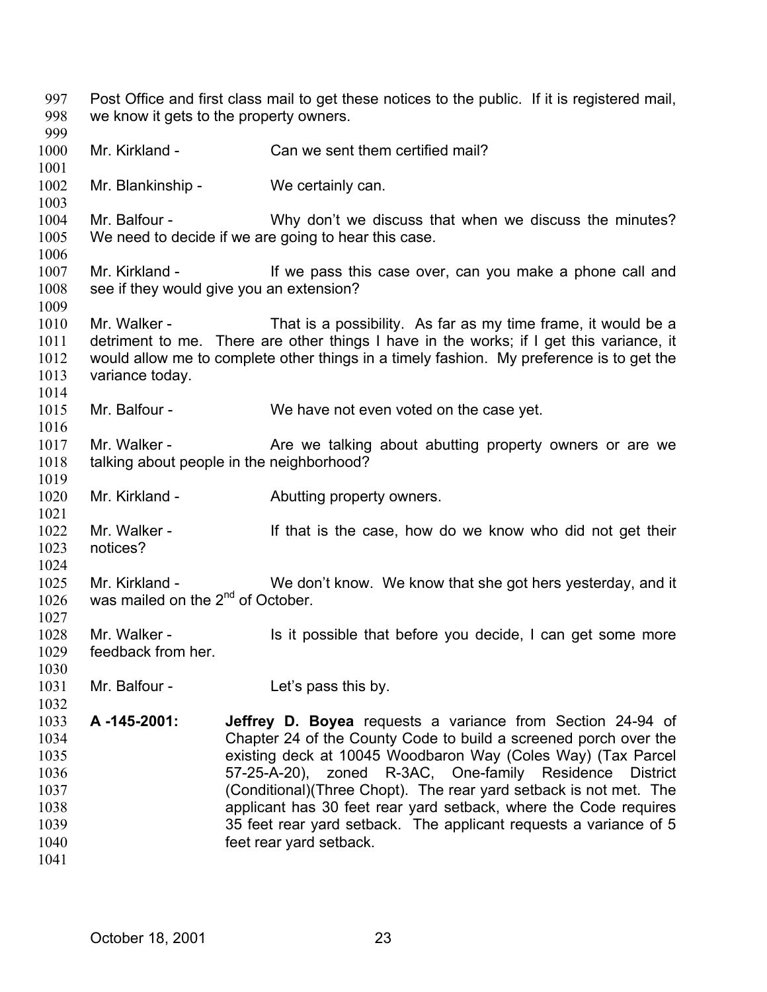Post Office and first class mail to get these notices to the public. If it is registered mail, we know it gets to the property owners. 997 998 999 1000 1001 1002 1003 1004 1005 1006 1007 1008 1009 1010 1011 1012 1013 1014 1015 1016 1017 1018 1019 1020 1021 1022 1023 1024 1025 1026 1027 1028 1029 1030 1031 1032 1033 1034 1035 1036 1037 1038 1039 1040 1041 Mr. Kirkland - Can we sent them certified mail? Mr. Blankinship - We certainly can. Mr. Balfour - Why don't we discuss that when we discuss the minutes? We need to decide if we are going to hear this case. Mr. Kirkland - If we pass this case over, can you make a phone call and see if they would give you an extension? Mr. Walker - That is a possibility. As far as my time frame, it would be a detriment to me. There are other things I have in the works; if I get this variance, it would allow me to complete other things in a timely fashion. My preference is to get the variance today. Mr. Balfour - We have not even voted on the case yet. Mr. Walker - The Are we talking about abutting property owners or are we talking about people in the neighborhood? Mr. Kirkland - **Abutting property owners.** Mr. Walker - The Mr is the case, how do we know who did not get their notices? Mr. Kirkland - We don't know. We know that she got hers yesterday, and it was mailed on the 2<sup>nd</sup> of October. Mr. Walker - Is it possible that before you decide, I can get some more feedback from her. Mr. Balfour - Let's pass this by. **A -145-2001: Jeffrey D. Boyea** requests a variance from Section 24-94 of Chapter 24 of the County Code to build a screened porch over the existing deck at 10045 Woodbaron Way (Coles Way) (Tax Parcel 57-25-A-20), zoned R-3AC, One-family Residence District (Conditional)(Three Chopt). The rear yard setback is not met. The applicant has 30 feet rear yard setback, where the Code requires 35 feet rear yard setback. The applicant requests a variance of 5 feet rear yard setback.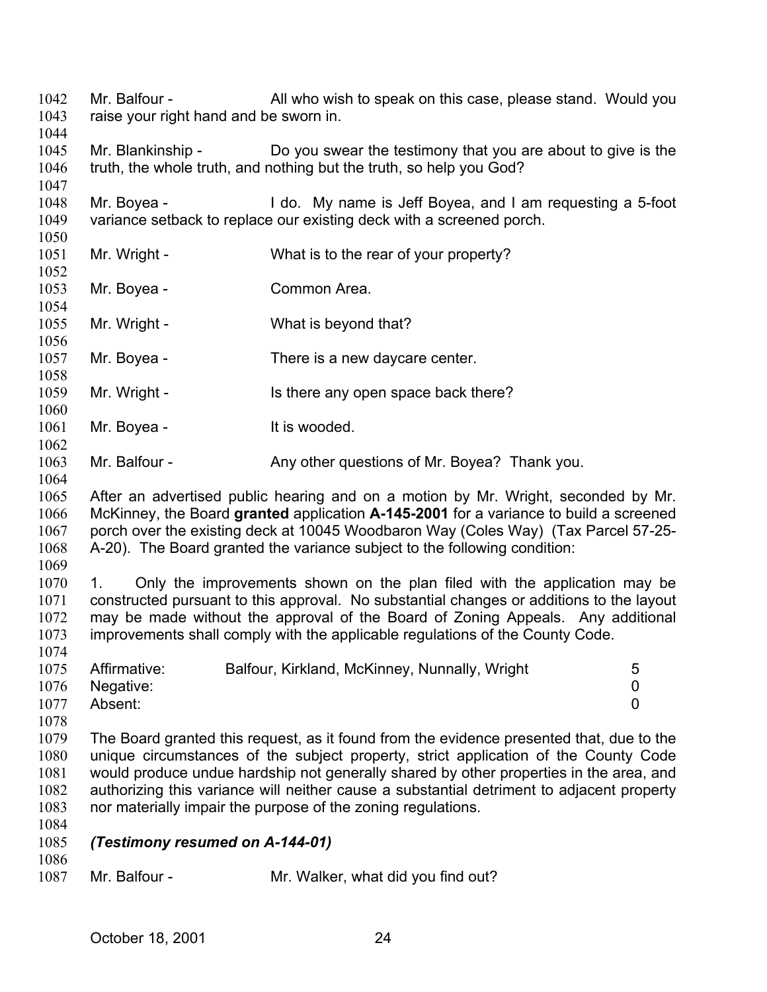raise your right hand and be sworn in. 1044 1045 1046 1047 1048 1049 1050 1051 1052 1053 1054 1055 1056 1057 1058 1059 1060 1061 1062 1063 1064 1065 1066 1067 1068 1069 1070 1071 1072 1073 1074 1075 1076 1077 1078 1079 1080 1081 1082 1083 1084 1085 1086 1087 Mr. Blankinship - Do you swear the testimony that you are about to give is the truth, the whole truth, and nothing but the truth, so help you God? Mr. Boyea - I do. My name is Jeff Boyea, and I am requesting a 5-foot variance setback to replace our existing deck with a screened porch. Mr. Wright - What is to the rear of your property? Mr. Boyea - Common Area. Mr. Wright - What is beyond that? Mr. Boyea - There is a new daycare center. Mr. Wright - Is there any open space back there? Mr. Boyea - It is wooded. Mr. Balfour - Any other questions of Mr. Boyea? Thank you. After an advertised public hearing and on a motion by Mr. Wright, seconded by Mr. McKinney, the Board **granted** application **A-145-2001** for a variance to build a screened porch over the existing deck at 10045 Woodbaron Way (Coles Way) (Tax Parcel 57-25- A-20). The Board granted the variance subject to the following condition: 1. Only the improvements shown on the plan filed with the application may be constructed pursuant to this approval. No substantial changes or additions to the layout may be made without the approval of the Board of Zoning Appeals. Any additional improvements shall comply with the applicable regulations of the County Code. Affirmative: Balfour, Kirkland, McKinney, Nunnally, Wright 5 Negative: 0 Absent: 0 The Board granted this request, as it found from the evidence presented that, due to the unique circumstances of the subject property, strict application of the County Code would produce undue hardship not generally shared by other properties in the area, and authorizing this variance will neither cause a substantial detriment to adjacent property nor materially impair the purpose of the zoning regulations. *(Testimony resumed on A-144-01)*  Mr. Balfour - Mr. Walker, what did you find out?

Mr. Balfour - All who wish to speak on this case, please stand. Would you

1042 1043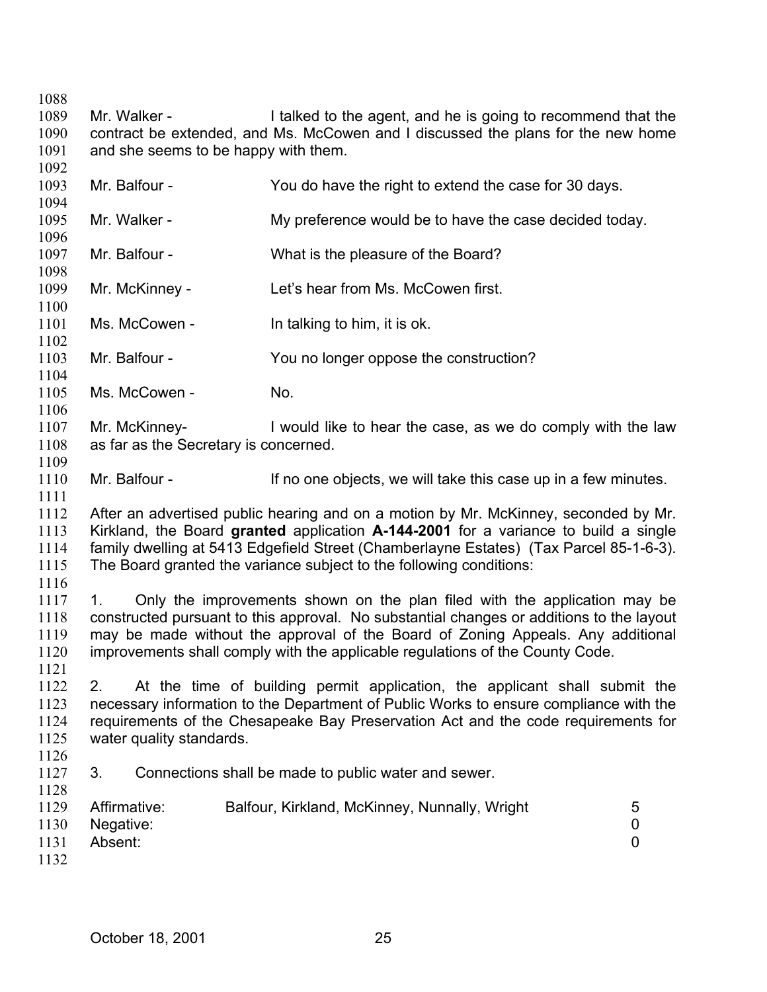1088 1089 1090 1091 1092 1093 1094 1095 1096 1097 1098 1099 1100 1101 1102 1103 1104 1105 1106 1107 1108 1109 1110 1111 1112 1113 1114 1115 1116 1117 1118 1119 1120 1121 1122 1123 1124 1125 1126 1127 1128 1129 1130 1131 1132 Mr. Walker - I talked to the agent, and he is going to recommend that the contract be extended, and Ms. McCowen and I discussed the plans for the new home and she seems to be happy with them. Mr. Balfour - You do have the right to extend the case for 30 days. Mr. Walker - My preference would be to have the case decided today. Mr. Balfour - What is the pleasure of the Board? Mr. McKinney - Let's hear from Ms. McCowen first. Ms. McCowen - In talking to him, it is ok. Mr. Balfour - You no longer oppose the construction? Ms. McCowen - No. Mr. McKinney- I would like to hear the case, as we do comply with the law as far as the Secretary is concerned. Mr. Balfour - If no one objects, we will take this case up in a few minutes. After an advertised public hearing and on a motion by Mr. McKinney, seconded by Mr. Kirkland, the Board **granted** application **A-144-2001** for a variance to build a single family dwelling at 5413 Edgefield Street (Chamberlayne Estates) (Tax Parcel 85-1-6-3). The Board granted the variance subject to the following conditions: 1. Only the improvements shown on the plan filed with the application may be constructed pursuant to this approval. No substantial changes or additions to the layout may be made without the approval of the Board of Zoning Appeals. Any additional improvements shall comply with the applicable regulations of the County Code. 2. At the time of building permit application, the applicant shall submit the necessary information to the Department of Public Works to ensure compliance with the requirements of the Chesapeake Bay Preservation Act and the code requirements for water quality standards. 3. Connections shall be made to public water and sewer. Affirmative: Balfour, Kirkland, McKinney, Nunnally, Wright 5 Negative: 0 Absent: 0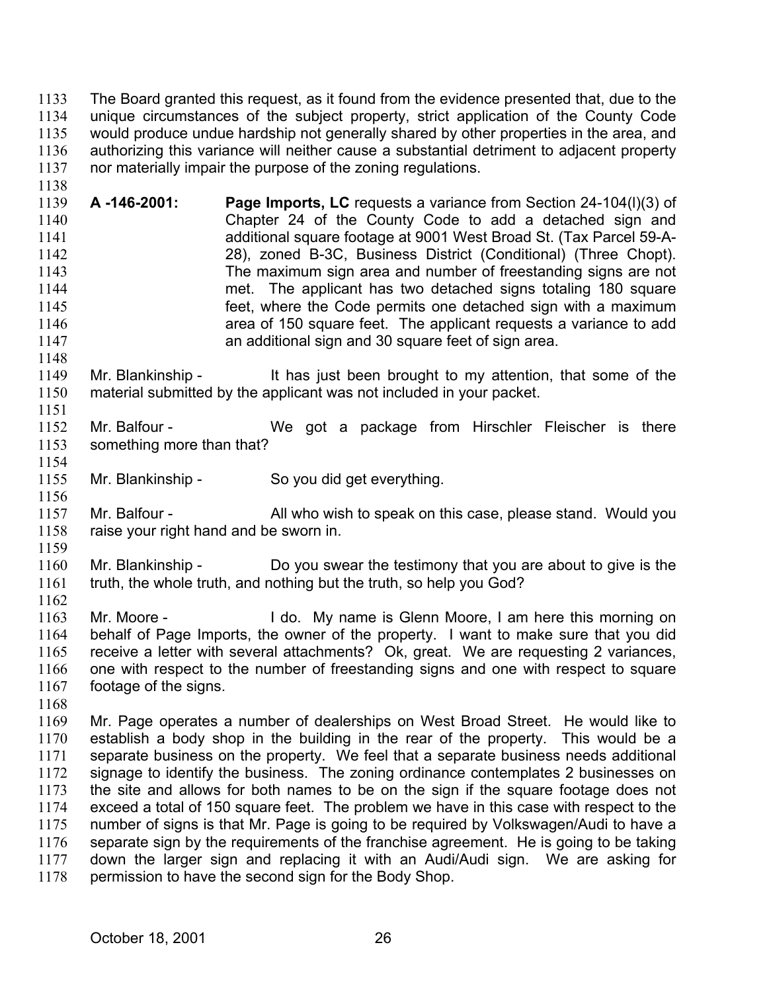The Board granted this request, as it found from the evidence presented that, due to the unique circumstances of the subject property, strict application of the County Code would produce undue hardship not generally shared by other properties in the area, and authorizing this variance will neither cause a substantial detriment to adjacent property nor materially impair the purpose of the zoning regulations. 1133 1134 1135 1136 1137

1139 1140 1141 1142 1143 1144 1145 1146 1147 **A -146-2001: Page Imports, LC** requests a variance from Section 24-104(l)(3) of Chapter 24 of the County Code to add a detached sign and additional square footage at 9001 West Broad St. (Tax Parcel 59-A-28), zoned B-3C, Business District (Conditional) (Three Chopt). The maximum sign area and number of freestanding signs are not met. The applicant has two detached signs totaling 180 square feet, where the Code permits one detached sign with a maximum area of 150 square feet. The applicant requests a variance to add an additional sign and 30 square feet of sign area.

1149 1150 1151 Mr. Blankinship - It has just been brought to my attention, that some of the material submitted by the applicant was not included in your packet.

1152 1153 1154 Mr. Balfour - We got a package from Hirschler Fleischer is there something more than that?

1155 1156 Mr. Blankinship - So you did get everything.

1157 1158 Mr. Balfour - All who wish to speak on this case, please stand. Would you raise your right hand and be sworn in.

1159

1138

1148

1160 1161 1162 Mr. Blankinship - Do you swear the testimony that you are about to give is the truth, the whole truth, and nothing but the truth, so help you God?

1163 1164 1165 1166 1167 Mr. Moore - I do. My name is Glenn Moore, I am here this morning on behalf of Page Imports, the owner of the property. I want to make sure that you did receive a letter with several attachments? Ok, great. We are requesting 2 variances, one with respect to the number of freestanding signs and one with respect to square footage of the signs.

1168

1169 1170 1171 1172 1173 1174 1175 1176 1177 1178 Mr. Page operates a number of dealerships on West Broad Street. He would like to establish a body shop in the building in the rear of the property. This would be a separate business on the property. We feel that a separate business needs additional signage to identify the business. The zoning ordinance contemplates 2 businesses on the site and allows for both names to be on the sign if the square footage does not exceed a total of 150 square feet. The problem we have in this case with respect to the number of signs is that Mr. Page is going to be required by Volkswagen/Audi to have a separate sign by the requirements of the franchise agreement. He is going to be taking down the larger sign and replacing it with an Audi/Audi sign. We are asking for permission to have the second sign for the Body Shop.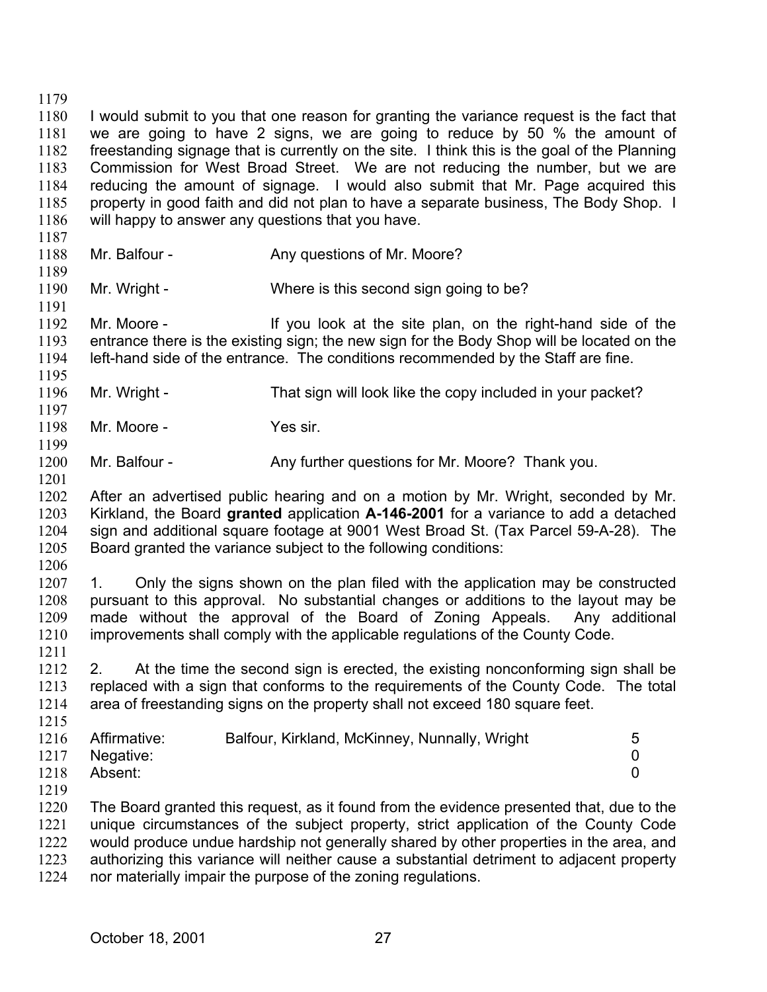1179 1180 1181 1182 1183 1184 1185 1186 I would submit to you that one reason for granting the variance request is the fact that we are going to have 2 signs, we are going to reduce by 50 % the amount of freestanding signage that is currently on the site. I think this is the goal of the Planning Commission for West Broad Street. We are not reducing the number, but we are reducing the amount of signage. I would also submit that Mr. Page acquired this property in good faith and did not plan to have a separate business, The Body Shop. I will happy to answer any questions that you have.

- 1188 Mr. Balfour - Any questions of Mr. Moore?
- 1190 Mr. Wright - Where is this second sign going to be?

1192 1193 1194 Mr. Moore - The Mr is the site plan, on the right-hand side of the entrance there is the existing sign; the new sign for the Body Shop will be located on the left-hand side of the entrance. The conditions recommended by the Staff are fine.

- 1196 Mr. Wright - That sign will look like the copy included in your packet?
- 1198 Mr. Moore - Yes sir.

1187

1189

1191

1195

1197

1199

1201

1211

1219

- 1200 Mr. Balfour - Any further questions for Mr. Moore? Thank you.
- 1202 1203 1204 1205 After an advertised public hearing and on a motion by Mr. Wright, seconded by Mr. Kirkland, the Board **granted** application **A-146-2001** for a variance to add a detached sign and additional square footage at 9001 West Broad St. (Tax Parcel 59-A-28). The Board granted the variance subject to the following conditions:

1206 1207 1208 1209 1210 1. Only the signs shown on the plan filed with the application may be constructed pursuant to this approval. No substantial changes or additions to the layout may be made without the approval of the Board of Zoning Appeals. Any additional improvements shall comply with the applicable regulations of the County Code.

1212 1213 1214 1215 2. At the time the second sign is erected, the existing nonconforming sign shall be replaced with a sign that conforms to the requirements of the County Code. The total area of freestanding signs on the property shall not exceed 180 square feet.

|      | 1216 Affirmative: | Balfour, Kirkland, McKinney, Nunnally, Wright | 5 |
|------|-------------------|-----------------------------------------------|---|
|      | 1217 Negative:    |                                               |   |
| 1218 | Absent:           |                                               |   |

1220 1221 1222 1223 1224 The Board granted this request, as it found from the evidence presented that, due to the unique circumstances of the subject property, strict application of the County Code would produce undue hardship not generally shared by other properties in the area, and authorizing this variance will neither cause a substantial detriment to adjacent property nor materially impair the purpose of the zoning regulations.